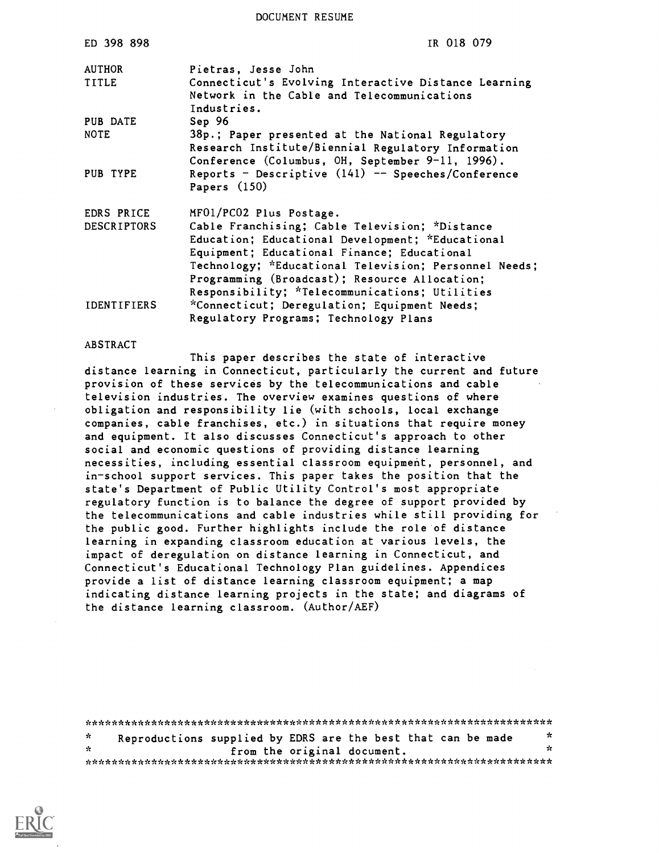DOCUMENT RESUME

| ED 398 898                       | IR 018 079                                                                                                                                                                                                                                                                                                                               |
|----------------------------------|------------------------------------------------------------------------------------------------------------------------------------------------------------------------------------------------------------------------------------------------------------------------------------------------------------------------------------------|
| <b>AUTHOR</b><br>TITLE           | Pietras, Jesse John<br>Connecticut's Evolving Interactive Distance Learning<br>Network in the Cable and Telecommunications<br>Industries.                                                                                                                                                                                                |
| PUB DATE<br><b>NOTE</b>          | Sep 96<br>38p.; Paper presented at the National Regulatory<br>Research Institute/Biennial Regulatory Information<br>Conference (Columbus, OH, September 9-11, 1996).                                                                                                                                                                     |
| PUB TYPE                         | Reports - Descriptive $(141)$ -- Speeches/Conference<br>Papers $(150)$                                                                                                                                                                                                                                                                   |
| EDRS PRICE<br><b>DESCRIPTORS</b> | MF01/PC02 Plus Postage.<br>Cable Franchising; Cable Television; *Distance<br>Education; Educational Development; *Educational<br>Equipment; Educational Finance; Educational<br>Technology; *Educational Television; Personnel Needs;<br>Programming (Broadcast); Resource Allocation;<br>Responsibility; *Telecommunications; Utilities |
| <b>IDENTIFIERS</b>               | *Connecticut; Deregulation; Equipment Needs;<br>Regulatory Programs; Technology Plans                                                                                                                                                                                                                                                    |

#### ABSTRACT

This paper describes the state of interactive distance learning in Connecticut, particularly the current and future provision of these services by the telecommunications and cable television industries. The overview examines questions of where obligation and responsibility lie (with schools, local exchange companies, cable franchises, etc.) in situations that require money and equipment. It also discusses Connecticut's approach to other social and economic questions of providing distance learning necessities, including essential classroom equipment, personnel, and in-school support services. This paper takes the position that the state's Department of Public Utility Control's most appropriate regulatory function is to balance the degree of support provided by the telecommunications and cable industries while still providing for the public good. Further highlights include the role of distance learning in expanding classroom education at various levels, the impact of deregulation on distance learning in Connecticut, and Connecticut's Educational Technology Plan guidelines. Appendices provide a list of distance learning classroom equipment; a map indicating distance learning projects in the state; and diagrams of the distance learning classroom. (Author/AEF)

| ÷. |  | Reproductions supplied by EDRS are the best that can be made | ∗   |
|----|--|--------------------------------------------------------------|-----|
| *  |  | from the original document.                                  | -25 |
|    |  |                                                              |     |

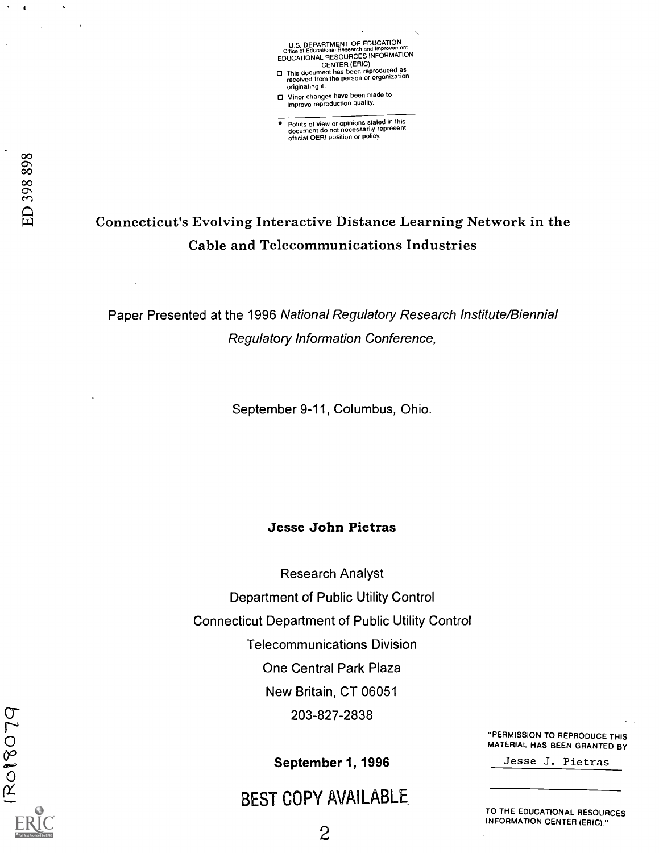U.S. DEPARTMENT OF EDUCATION<br>Office of Educational Research and Improvement Office of Educational Research and Improvement EDUCATIONAL HESOURCES INFORMATION<br>CENTER (ERIC)<br>This document has been reproduced as<br>received from the person or organization originating it.

Minor changes have been made to improve reproduction quality.

Points of view or opinions stated in this<br>document do not necessarily represent<br>official OERI position or policy.

## Connecticut's Evolving Interactive Distance Learning Network in the Cable and Telecommunications Industries

Paper Presented at the 1996 National Regulatory Research Institute/Biennial Regulatory Information Conference,

September 9-11, Columbus, Ohio.

## Jesse John Pietras

Research Analyst Department of Public Utility Control Connecticut Department of Public Utility Control Telecommunications Division One Central Park Plaza New Britain, CT 06051 203-827-2838

September 1, 1996

## BEST COPY AVAILABLE

"PERMISSION TO REPRODUCE THIS MATERIAL HAS BEEN GRANTED BY

Jesse J. Pietras

TO THE EDUCATIONAL RESOURCES INFORMATION CENTER (ERIC)."

RO18079

 $\mathbf{I}$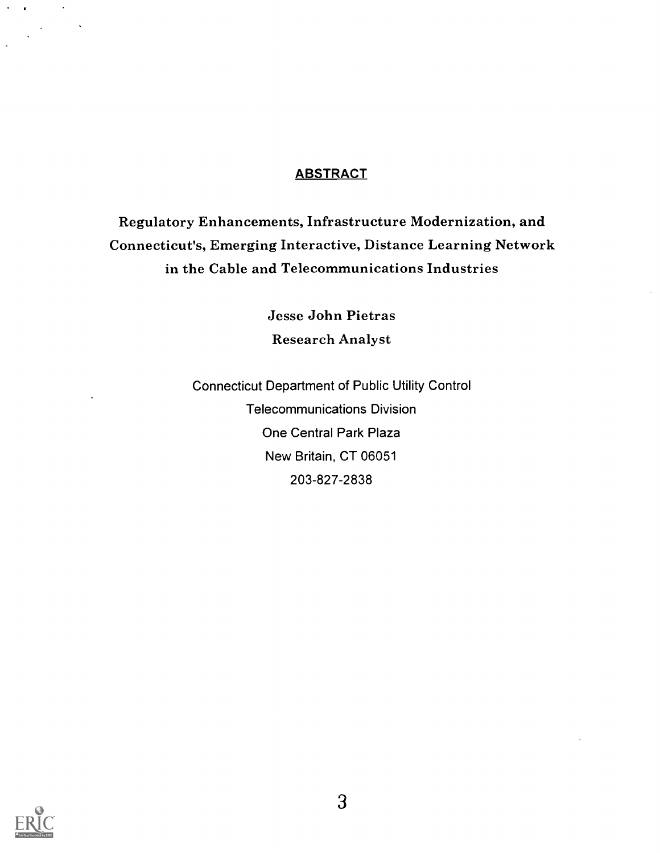## **ABSTRACT**

Regulatory Enhancements, Infrastructure Modernization, and Connecticut's, Emerging Interactive, Distance Learning Network in the Cable and Telecommunications Industries

> Jesse John Pietras Research Analyst

Connecticut Department of Public Utility Control Telecommunications Division One Central Park Plaza New Britain, CT 06051 203-827-2838



 $\sim 10$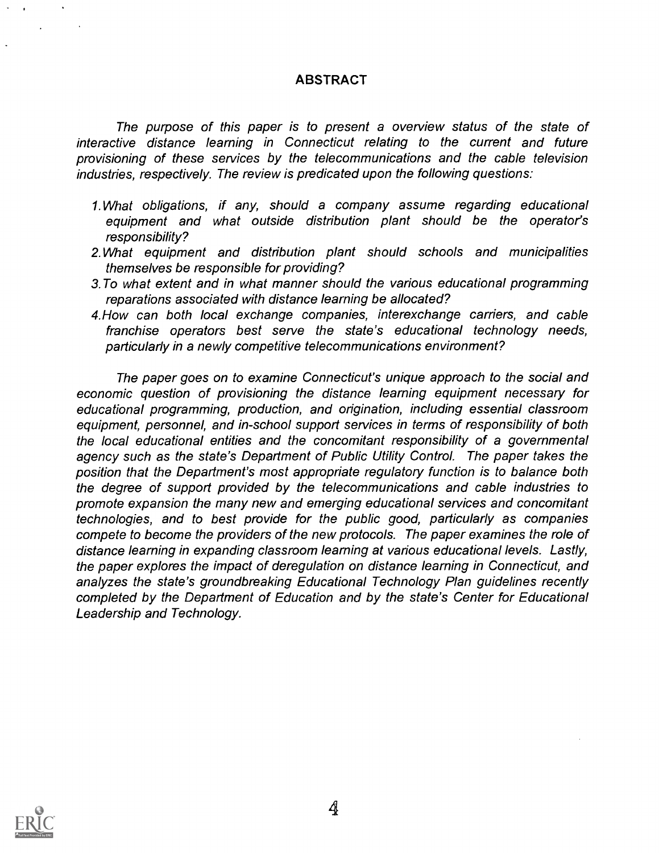## ABSTRACT

The purpose of this paper is to present a overview status of the state of interactive distance learning in Connecticut relating to the current and future provisioning of these services by the telecommunications and the cable television industries, respectively. The review is predicated upon the following questions:

- 1. What obligations, if any, should a company assume regarding educational equipment and what outside distribution plant should be the operator's responsibility?
- 2.What equipment and distribution plant should schools and municipalities themselves be responsible for providing?
- 3. To what extent and in what manner should the various educational programming reparations associated with distance learning be allocated?
- 4.How can both local exchange companies, interexchange carriers, and cable franchise operators best serve the state's educational technology needs, particularly in a newly competitive telecommunications environment?

The paper goes on to examine Connecticut's unique approach to the social and economic question of provisioning the distance learning equipment necessary for educational programming, production, and origination, including essential classroom equipment, personnel, and in-school support services in terms of responsibility of both the local educational entities and the concomitant responsibility of a governmental agency such as the state's Department of Public Utility Control. The paper takes the position that the Department's most appropriate regulatory function is to balance both the degree of support provided by the telecommunications and cable industries to promote expansion the many new and emerging educational services and concomitant technologies, and to best provide for the public good, particularly as companies compete to become the providers of the new protocols. The paper examines the role of distance learning in expanding classroom learning at various educational levels. Lastly, the paper explores the impact of deregulation on distance learning in Connecticut, and analyzes the state's groundbreaking Educational Technology Plan guidelines recently completed by the Department of Education and by the state's Center for Educational Leadership and Technology.

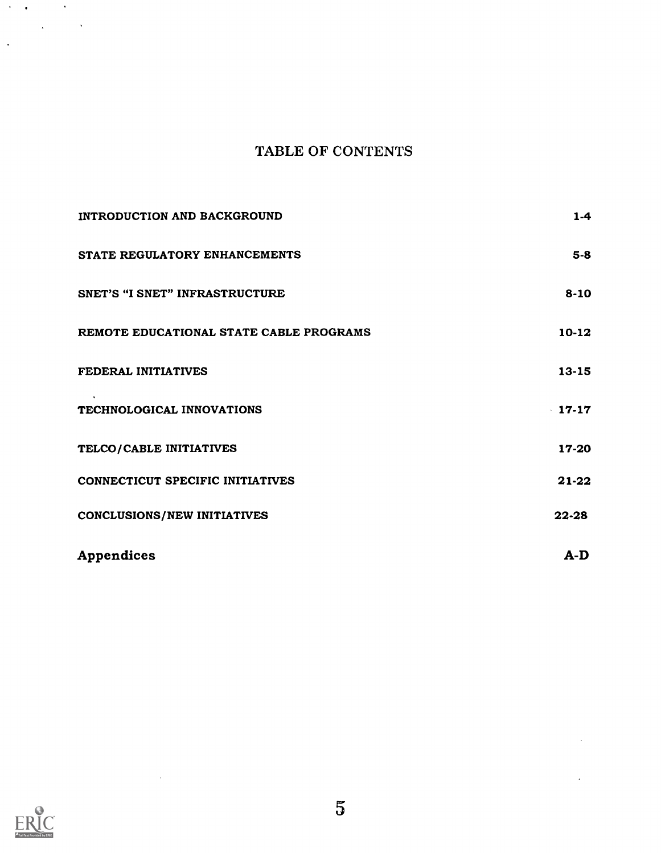## TABLE OF CONTENTS

| INTRODUCTION AND BACKGROUND             | $1-4$     |
|-----------------------------------------|-----------|
| STATE REGULATORY ENHANCEMENTS           | $5-8$     |
| <b>SNET'S "I SNET" INFRASTRUCTURE</b>   | $8 - 10$  |
| REMOTE EDUCATIONAL STATE CABLE PROGRAMS | $10-12$   |
| FEDERAL INITIATIVES                     | $13 - 15$ |
| TECHNOLOGICAL INNOVATIONS               | 17-17     |
| TELCO/CABLE INITIATIVES                 | 17-20     |
| CONNECTICUT SPECIFIC INITIATIVES        | 21-22     |
| <b>CONCLUSIONS/NEW INITIATIVES</b>      | 22-28     |
| <b>Appendices</b>                       | $A-D$     |



 $\bar{\mathcal{A}}$ 

 $\mathcal{A}=\mathcal{A}$  , where  $\mathcal{A}=\mathcal{A}$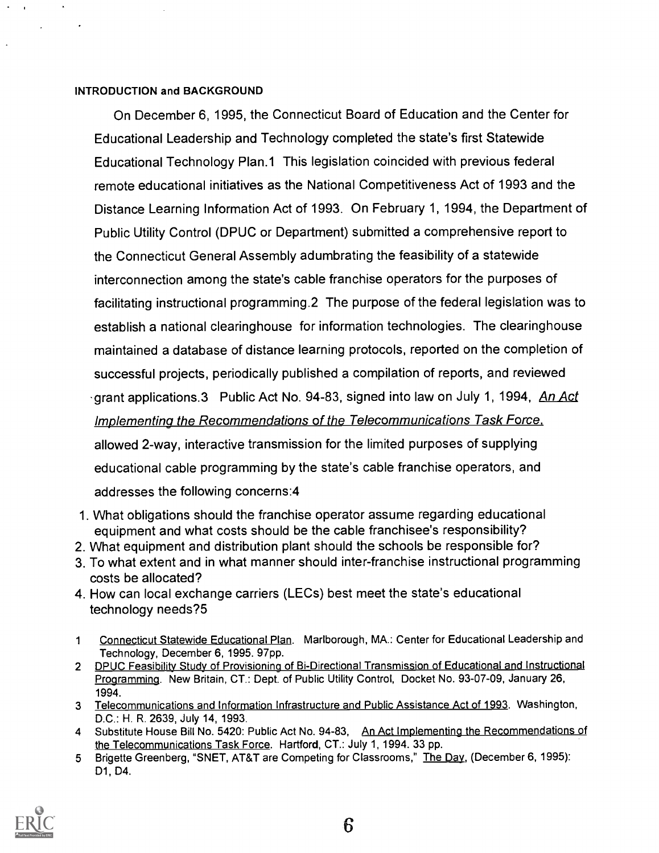## INTRODUCTION and BACKGROUND

On December 6, 1995, the Connecticut Board of Education and the Center for Educational Leadership and Technology completed the state's first Statewide Educational Technology Plan.1 This legislation coincided with previous federal remote educational initiatives as the National Competitiveness Act of 1993 and the Distance Learning Information Act of 1993. On February 1, 1994, the Department of Public Utility Control (DPUC or Department) submitted a comprehensive report to the Connecticut General Assembly adumbrating the feasibility of a statewide interconnection among the state's cable franchise operators for the purposes of facilitating instructional programming.2 The purpose of the federal legislation was to establish a national clearinghouse for information technologies. The clearinghouse maintained a database of distance learning protocols, reported on the completion of successful projects, periodically published a compilation of reports, and reviewed grant applications.3 Public Act No. 94-83, signed into law on July 1, 1994, An Act Implementing the Recommendations of the Telecommunications Task Force. allowed 2-way, interactive transmission for the limited purposes of supplying educational cable programming by the state's cable franchise operators, and

addresses the following concerns:4

- 1. What obligations should the franchise operator assume regarding educational equipment and what costs should be the cable franchisee's responsibility?
- 2. What equipment and distribution plant should the schools be responsible for?
- 3. To what extent and in what manner should inter-franchise instructional programming costs be allocated?
- 4. How can local exchange carriers (LECs) best meet the state's educational technology needs?5
- <sup>1</sup> Connecticut Statewide Educational Plan. Marlborough, MA.: Center for Educational Leadership and Technology, December 6, 1995. 97pp.
- 2 DPUC Feasibility Study of Provisioning of Bi-Directional Transmission of Educational and Instructional Programming. New Britain, CT.: Dept. of Public Utility Control, Docket No. 93-07-09, January 26, 1994.
- 3 Telecommunications and Information Infrastructure and Public Assistance Act of 1993. Washington, D.C.: H. R. 2639, July 14, 1993.
- 4 Substitute House Bill No. 5420: Public Act No. 94-83, An Act Implementing the Recommendations of the Telecommunications Task Force. Hartford, CT.: July 1, 1994. 33 pp.
- 5 Brigette Greenberg, "SNET, AT&T are Competing for Classrooms," The Day, (December 6, 1995): D1, D4.

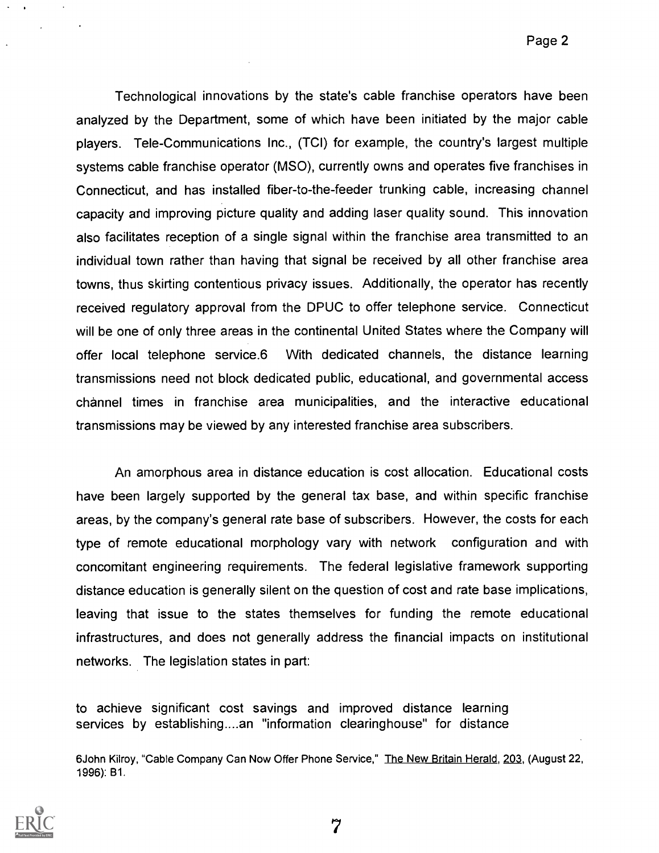Technological innovations by the state's cable franchise operators have been analyzed by the Department, some of which have been initiated by the major cable players. Tele-Communications Inc., (TCI) for example, the country's largest multiple systems cable franchise operator (MSO), currently owns and operates five franchises in Connecticut, and has installed fiber-to-the-feeder trunking cable, increasing channel capacity and improving picture quality and adding laser quality sound. This innovation also facilitates reception of a single signal within the franchise area transmitted to an individual town rather than having that signal be received by all other franchise area towns, thus skirting contentious privacy issues. Additionally, the operator has recently received regulatory approval from the DPUC to offer telephone service. Connecticut will be one of only three areas in the continental United States where the Company will offer local telephone service.6 With dedicated channels, the distance learning transmissions need not block dedicated public, educational, and governmental access channel times in franchise area municipalities, and the interactive educational transmissions may be viewed by any interested franchise area subscribers.

An amorphous area in distance education is cost allocation. Educational costs have been largely supported by the general tax base, and within specific franchise areas, by the company's general rate base of subscribers. However, the costs for each type of remote educational morphology vary with network configuration and with concomitant engineering requirements. The federal legislative framework supporting distance education is generally silent on the question of cost and rate base implications, leaving that issue to the states themselves for funding the remote educational infrastructures, and does not generally address the financial impacts on institutional networks. The legislation states in part:

to achieve significant cost savings and improved distance learning services by establishing....an "information clearinghouse" for distance

6John Kilroy, "Cable Company Can Now Offer Phone Service," The New Britain Herald, 203, (August 22, 1996): B1.

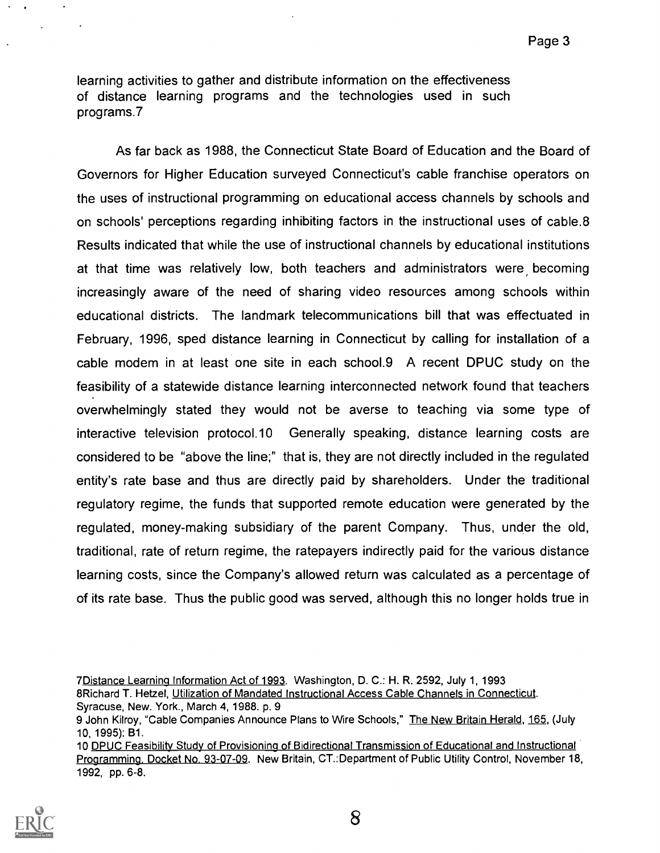learning activities to gather and distribute information on the effectiveness of distance learning programs and the technologies used in such programs.7

As far back as 1988, the Connecticut State Board of Education and the Board of Governors for Higher Education surveyed Connecticut's cable franchise operators on the uses of instructional programming on educational access channels by schools and on schools' perceptions regarding inhibiting factors in the instructional uses of cable.8 Results indicated that while the use of instructional channels by educational institutions at that time was relatively low, both teachers and administrators were becoming increasingly aware of the need of sharing video resources among schools within educational districts. The landmark telecommunications bill that was effectuated in February, 1996, sped distance learning in Connecticut by calling for installation of a cable modem in at least one site in each school.9 A recent DPUC study on the feasibility of a statewide distance learning interconnected network found that teachers overwhelmingly stated they would not be averse to teaching via some type of interactive television protocol.10 Generally speaking, distance learning costs are considered to be "above the line;" that is, they are not directly included in the regulated entity's rate base and thus are directly paid by shareholders. Under the traditional regulatory regime, the funds that supported remote education were generated by the regulated, money-making subsidiary of the parent Company. Thus, under the old, traditional, rate of return regime, the ratepayers indirectly paid for the various distance learning costs, since the Company's allowed return was calculated as a percentage of of its rate base. Thus the public good was served, although this no longer holds true in

<sup>10</sup> DPUC Feasibility Study of Provisioning of Bidirectional Transmission of Educational and Instructional Programming. Docket No. 93-07-09. New Britain, CT.:Department of Public Utility Control, November 18, 1992, pp. 6-8.



<sup>7</sup>Distance Learning Information Act of 1993. Washington, D. C.: H. R. 2592, July 1, 1993 8Richard T. Hetzel, Utilization of Mandated Instructional Access Cable Channels in Connecticut. Syracuse, New. York., March 4, 1988. p. 9

<sup>9</sup> John Kilroy, "Cable Companies Announce Plans to Wire Schools," The New Britain Herald, 165, (July 10, 1995): B1.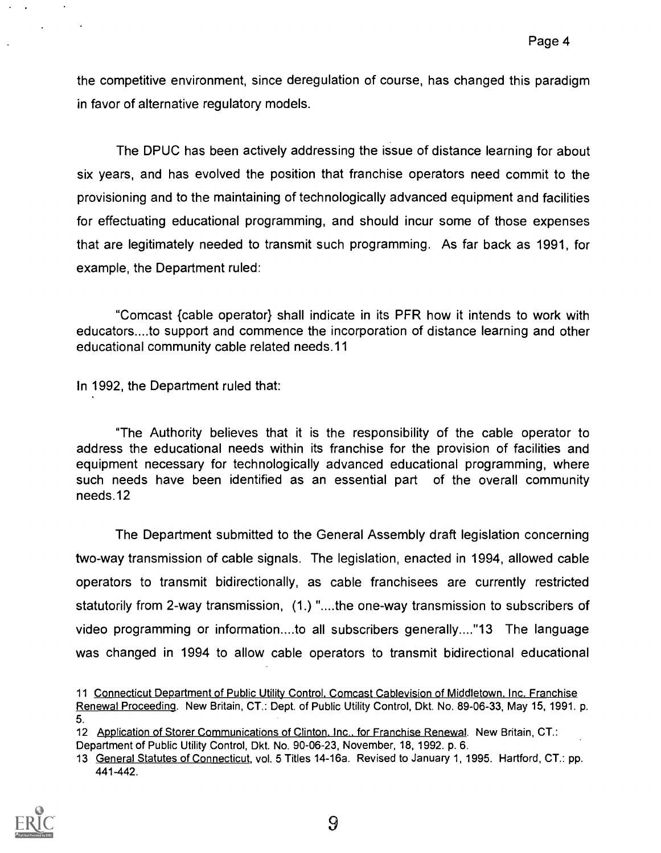the competitive environment, since deregulation of course, has changed this paradigm in favor of alternative regulatory models.

The DPUC has been actively addressing the issue of distance learning for about six years, and has evolved the position that franchise operators need commit to the provisioning and to the maintaining of technologically advanced equipment and facilities for effectuating educational programming, and should incur some of those expenses that are legitimately needed to transmit such programming. As far back as 1991, for example, the Department ruled:

"Comcast {cable operator} shall indicate in its PFR how it intends to work with educators....to support and commence the incorporation of distance learning and other educational community cable related needs.11

In 1992, the Department ruled that:

"The Authority believes that it is the responsibility of the cable operator to address the educational needs within its franchise for the provision of facilities and equipment necessary for technologically advanced educational programming, where such needs have been identified as an essential part of the overall community needs.12

The Department submitted to the General Assembly draft legislation concerning two-way transmission of cable signals. The legislation, enacted in 1994, allowed cable operators to transmit bidirectionally, as cable franchisees are currently restricted statutorily from 2-way transmission, (1.) "....the one-way transmission to subscribers of video programming or information....to all subscribers generally...."13 The language was changed in 1994 to allow cable operators to transmit bidirectional educational

<sup>13</sup> General Statutes of Connecticut, vol. 5 Titles 14-16a. Revised to January 1, 1995. Hartford, CT.: pp. 441-442.



<sup>11</sup> Connecticut Department of Public Utility Control. Comcast Cablevision of Middletown. Inc. Franchise Renewal Proceeding. New Britain, CT.: Dept. of Public Utility Control, Dkt. No. 89-06-33, May 15, 1991. p. 5.

<sup>12</sup> Application of Storer Communications of Clinton. Inc.. for Franchise Renewal. New Britain, CT.: Department of Public Utility Control, Dkt. No. 90-06-23, November, 18, 1992. p. 6.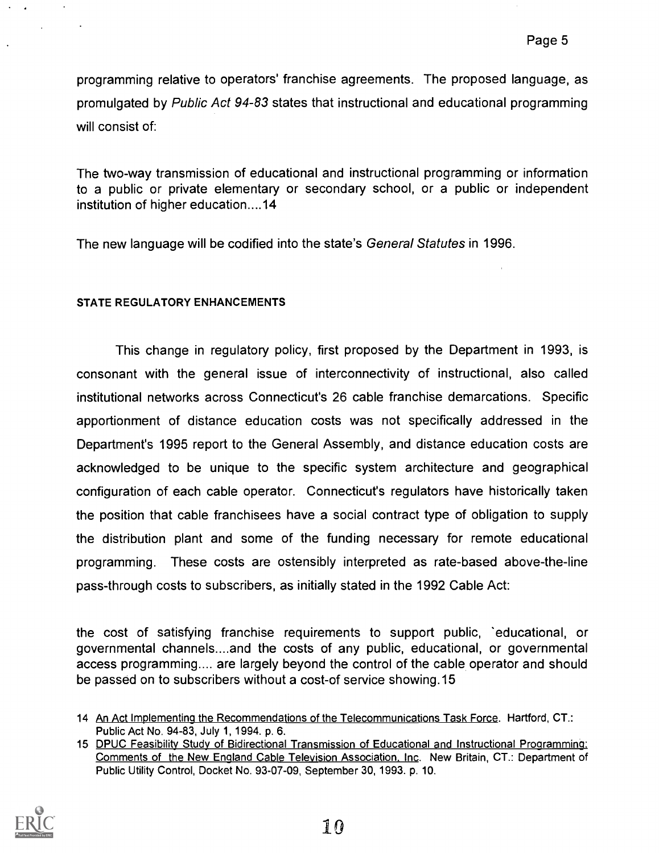programming relative to operators' franchise agreements. The proposed language, as promulgated by Public Act 94-83 states that instructional and educational programming will consist of:

The two-way transmission of educational and instructional programming or information to a public or private elementary or secondary school, or a public or independent institution of higher education....14

The new language will be codified into the state's General Statutes in 1996.

## STATE REGULATORY ENHANCEMENTS

This change in regulatory policy, first proposed by the Department in 1993, is consonant with the general issue of interconnectivity of instructional, also called institutional networks across Connecticut's 26 cable franchise demarcations. Specific apportionment of distance education costs was not specifically addressed in the Department's 1995 report to the General Assembly, and distance education costs are acknowledged to be unique to the specific system architecture and geographical configuration of each cable operator. Connecticut's regulators have historically taken the position that cable franchisees have a social contract type of obligation to supply the distribution plant and some of the funding necessary for remote educational programming. These costs are ostensibly interpreted as rate-based above-the-line pass-through costs to subscribers, as initially stated in the 1992 Cable Act:

the cost of satisfying franchise requirements to support public, 'educational, or governmental channels....and the costs of any public, educational, or governmental access programming.... are largely beyond the control of the cable operator and should be passed on to subscribers without a cost-of service showing.15

<sup>15</sup> DPUC Feasibility Study of Bidirectional Transmission of Educational and Instructional Programming. Comments of the New England Cable Television Association, Inc. New Britain, CT.: Department of Public Utility Control, Docket No. 93-07-09, September 30, 1993. p. 10.



<sup>14</sup> An Act Implementing the Recommendations of the Telecommunications Task Force. Hartford, CT.: Public Act No. 94-83, July 1, 1994. p. 6.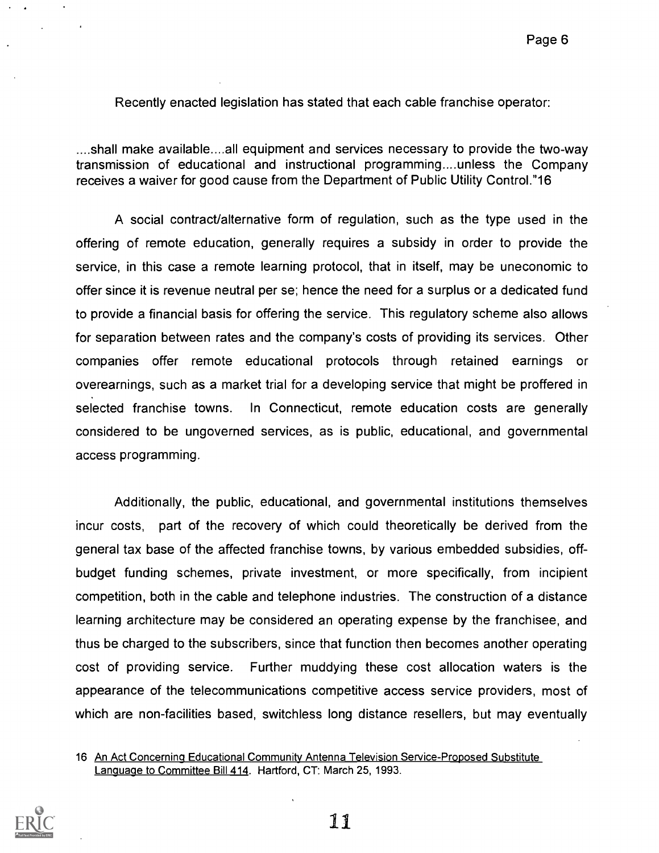Recently enacted legislation has stated that each cable franchise operator:

....shall make available....all equipment and services necessary to provide the two-way transmission of educational and instructional programming....unless the Company receives a waiver for good cause from the Department of Public Utility Control."16

A social contract/alternative form of regulation, such as the type used in the offering of remote education, generally requires a subsidy in order to provide the service, in this case a remote learning protocol, that in itself, may be uneconomic to offer since it is revenue neutral per se; hence the need for a surplus or a dedicated fund to provide a financial basis for offering the service. This regulatory scheme also allows for separation between rates and the company's costs of providing its services. Other companies offer remote educational protocols through retained earnings or overearnings, such as a market trial for a developing service that might be proffered in selected franchise towns. In Connecticut, remote education costs are generally considered to be ungoverned services, as is public, educational, and governmental access programming.

Additionally, the public, educational, and governmental institutions themselves incur costs, part of the recovery of which could theoretically be derived from the general tax base of the affected franchise towns, by various embedded subsidies, offbudget funding schemes, private investment, or more specifically, from incipient competition, both in the cable and telephone industries. The construction of a distance learning architecture may be considered an operating expense by the franchisee, and thus be charged to the subscribers, since that function then becomes another operating cost of providing service. Further muddying these cost allocation waters is the appearance of the telecommunications competitive access service providers, most of which are non-facilities based, switchless long distance resellers, but may eventually

<sup>16</sup> An Act Concerning Educational Community Antenna Television Service-Proposed Substitute Language to Committee Bill 414. Hartford, CT: March 25, 1993.

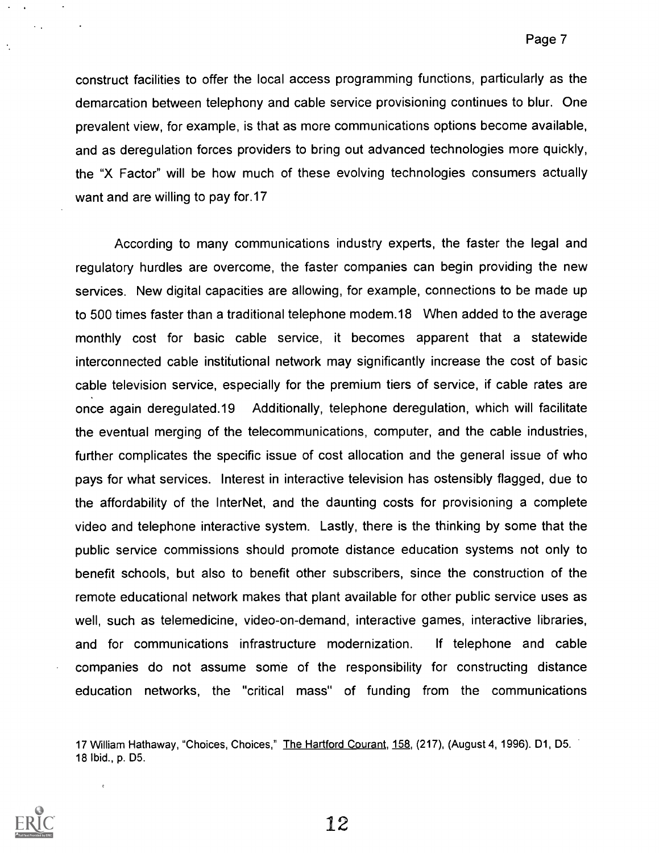construct facilities to offer the local access programming functions, particularly as the demarcation between telephony and cable service provisioning continues to blur. One prevalent view, for example, is that as more communications options become available, and as deregulation forces providers to bring out advanced technologies more quickly, the "X Factor" will be how much of these evolving technologies consumers actually want and are willing to pay for.17

According to many communications industry experts, the faster the legal and regulatory hurdles are overcome, the faster companies can begin providing the new services. New digital capacities are allowing, for example, connections to be made up to 500 times faster than a traditional telephone modem.18 When added to the average monthly cost for basic cable service, it becomes apparent that a statewide interconnected cable institutional network may significantly increase the cost of basic cable television service, especially for the premium tiers of service, if cable rates are once again deregulated.19 Additionally, telephone deregulation, which will facilitate the eventual merging of the telecommunications, computer, and the cable industries, further complicates the specific issue of cost allocation and the general issue of who pays for what services. Interest in interactive television has ostensibly flagged, due to the affordability of the InterNet, and the daunting costs for provisioning a complete video and telephone interactive system. Lastly, there is the thinking by some that the public service commissions should promote distance education systems not only to benefit schools, but also to benefit other subscribers, since the construction of the remote educational network makes that plant available for other public service uses as well, such as telemedicine, video-on-demand, interactive games, interactive libraries, and for communications infrastructure modernization. If telephone and cable companies do not assume some of the responsibility for constructing distance education networks, the "critical mass" of funding from the communications

17 William Hathaway, "Choices, Choices," The Hartford Courant, 158, (217), (August 4, 1996). D1, D5. 18 Ibid., p. D5.



 $\tilde{\mathbf{r}}$ 

 $\mathcal{L}_{\text{max}}$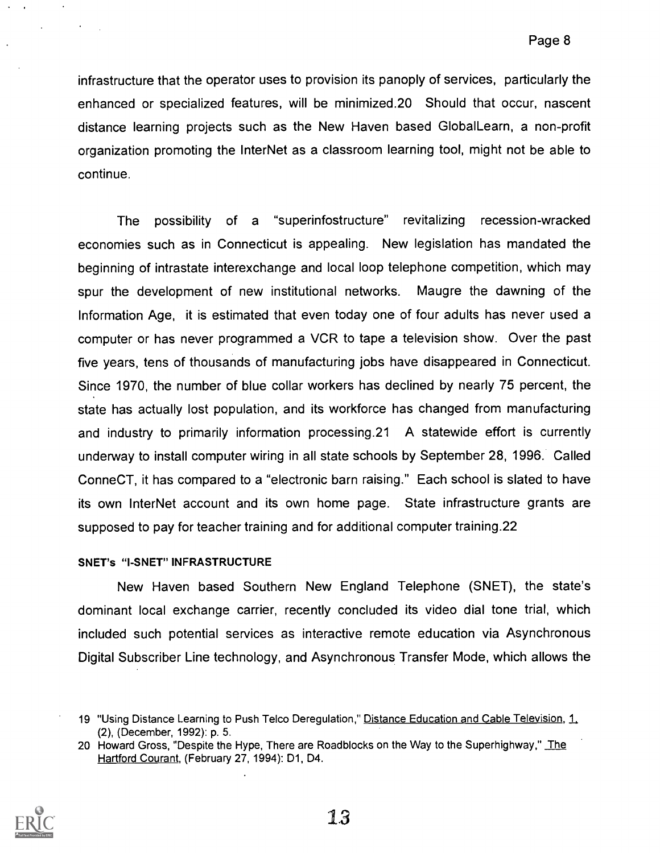infrastructure that the operator uses to provision its panoply of services, particularly the enhanced or specialized features, will be minimized.20 Should that occur, nascent distance learning projects such as the New Haven based Global Learn, a non-profit organization promoting the InterNet as a classroom learning tool, might not be able to continue.

The possibility of a "superinfostructure" revitalizing recession-wracked economies such as in Connecticut is appealing. New legislation has mandated the beginning of intrastate interexchange and local loop telephone competition, which may spur the development of new institutional networks. Maugre the dawning of the Information Age, it is estimated that even today one of four adults has never used a computer or has never programmed a VCR to tape a television show. Over the past five years, tens of thousands of manufacturing jobs have disappeared in Connecticut. Since 1970, the number of blue collar workers has declined by nearly 75 percent, the state has actually lost population, and its workforce has changed from manufacturing and industry to primarily information processing.21 A statewide effort is currently underway to install computer wiring in all state schools by September 28, 1996. Called ConneCT, it has compared to a "electronic barn raising." Each school is slated to have its own InterNet account and its own home page. State infrastructure grants are supposed to pay for teacher training and for additional computer training.22

#### SNET's "I-SNET" INFRASTRUCTURE

New Haven based Southern New England Telephone (SNET), the state's dominant local exchange carrier, recently concluded its video dial tone trial, which included such potential services as interactive remote education via Asynchronous Digital Subscriber Line technology, and Asynchronous Transfer Mode, which allows the

<sup>20</sup> Howard Gross, "Despite the Hype, There are Roadblocks on the Way to the Superhighway," The Hartford Courant, (February 27, 1994): D1, D4.



<sup>19 &</sup>quot;Using Distance Learning to Push Telco Deregulation," Distance Education and Cable Television, 1, (2), (December, 1992): p. 5.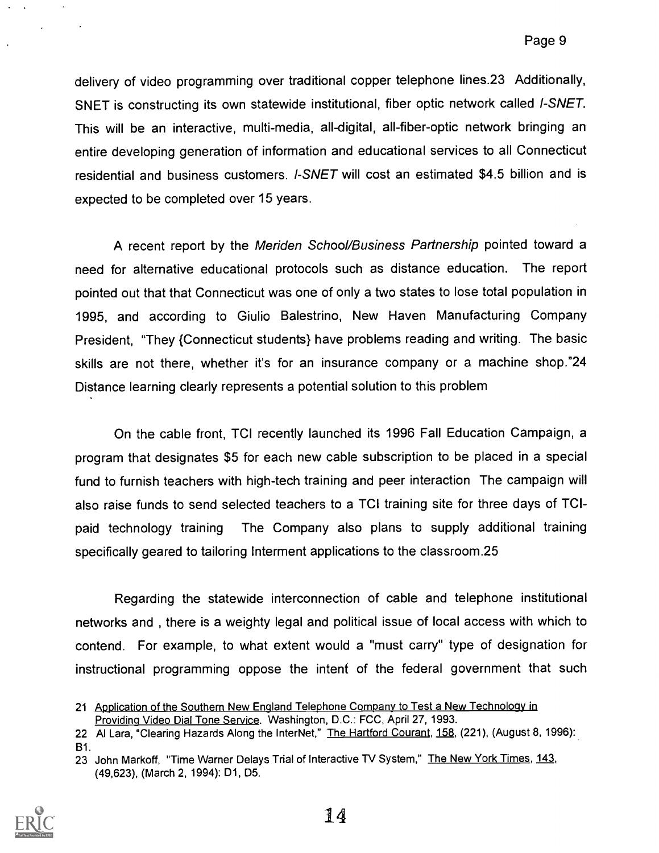delivery of video programming over traditional copper telephone lines.23 Additionally, SNET is constructing its own statewide institutional, fiber optic network called I-SNET. This will be an interactive, multi-media, all-digital, all-fiber-optic network bringing an entire developing generation of information and educational services to all Connecticut residential and business customers. I-SNET will cost an estimated \$4.5 billion and is expected to be completed over 15 years.

A recent report by the Meriden School/Business Partnership pointed toward a need for alternative educational protocols such as distance education. The report pointed out that that Connecticut was one of only a two states to lose total population in 1995, and according to Giulio Balestrino, New Haven Manufacturing Company President, "They {Connecticut students} have problems reading and writing. The basic skills are not there, whether it's for an insurance company or a machine shop."24 Distance learning clearly represents a potential solution to this problem

On the cable front, TCI recently launched its 1996 Fall Education Campaign, a program that designates \$5 for each new cable subscription to be placed in a special fund to furnish teachers with high-tech training and peer interaction The campaign will also raise funds to send selected teachers to a TCI training site for three days of TCIpaid technology training The Company also plans to supply additional training specifically geared to tailoring Interment applications to the classroom.25

Regarding the statewide interconnection of cable and telephone institutional networks and , there is a weighty legal and political issue of local access with which to contend. For example, to what extent would a "must carry" type of designation for instructional programming oppose the intent of the federal government that such

<sup>23</sup> John Markoff, "Time Warner Delays Trial of Interactive TV System," The New York Times, 143, (49,623), (March 2, 1994): D1, D5.



<sup>21</sup> Application of the Southern New England Telephone Company to Test a New Technology in Providing Video Dial Tone Service. Washington, D.C.: FCC, April 27, 1993.

<sup>22</sup> Al Lara, "Clearing Hazards Along the InterNet," The Hartford Courant, 158, (221), (August 8, 1996): B1.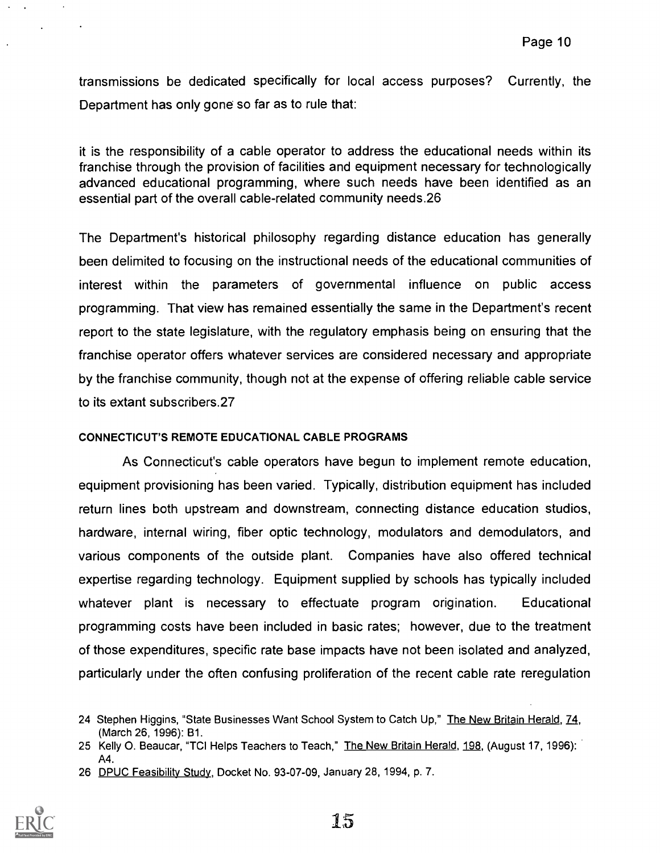transmissions be dedicated specifically for local access purposes? Currently, the Department has only gone so far as to rule that:

it is the responsibility of a cable operator to address the educational needs within its franchise through the provision of facilities and equipment necessary for technologically advanced educational programming, where such needs have been identified as an essential part of the overall cable-related community needs.26

The Department's historical philosophy regarding distance education has generally been delimited to focusing on the instructional needs of the educational communities of interest within the parameters of governmental influence on public access programming. That view has remained essentially the same in the Department's recent report to the state legislature, with the regulatory emphasis being on ensuring that the franchise operator offers whatever services are considered necessary and appropriate by the franchise community, though not at the expense of offering reliable cable service to its extant subscribers.27

## CONNECTICUT'S REMOTE EDUCATIONAL CABLE PROGRAMS

As Connecticut's cable operators have begun to implement remote education, equipment provisioning has been varied. Typically, distribution equipment has included return lines both upstream and downstream, connecting distance education studios, hardware, internal wiring, fiber optic technology, modulators and demodulators, and various components of the outside plant. Companies have also offered technical expertise regarding technology. Equipment supplied by schools has typically included whatever plant is necessary to effectuate program origination. Educational programming costs have been included in basic rates; however, due to the treatment of those expenditures, specific rate base impacts have not been isolated and analyzed, particularly under the often confusing proliferation of the recent cable rate reregulation

<sup>26</sup> DPUC Feasibility Study, Docket No. 93-07-09, January 28, 1994, p. 7.



<sup>24</sup> Stephen Higgins, "State Businesses Want School System to Catch Up," The New Britain Herald, 74, (March 26, 1996): B1.

<sup>25</sup> Kelly O. Beaucar, "TCI Helps Teachers to Teach," The New Britain Herald, 198, (August 17, 1996): A4.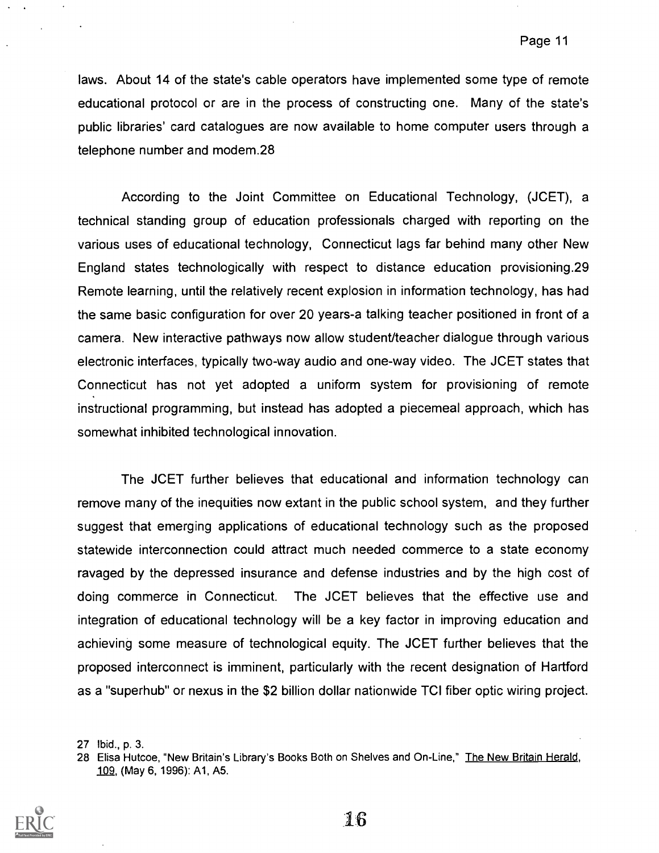laws. About 14 of the state's cable operators have implemented some type of remote educational protocol or are in the process of constructing one. Many of the state's public libraries' card catalogues are now available to home computer users through a telephone number and modem.28

According to the Joint Committee on Educational Technology, (JCET), a technical standing group of education professionals charged with reporting on the various uses of educational technology, Connecticut lags far behind many other New England states technologically with respect to distance education provisioning. 29 Remote learning, until the relatively recent explosion in information technology, has had the same basic configuration for over 20 years-a talking teacher positioned in front of a camera. New interactive pathways now allow student/teacher dialogue through various electronic interfaces, typically two-way audio and one-way video. The JCET states that Connecticut has not yet adopted a uniform system for provisioning of remote instructional programming, but instead has adopted a piecemeal approach, which has somewhat inhibited technological innovation.

The JCET further believes that educational and information technology can remove many of the inequities now extant in the public school system, and they further suggest that emerging applications of educational technology such as the proposed statewide interconnection could attract much needed commerce to a state economy ravaged by the depressed insurance and defense industries and by the high cost of doing commerce in Connecticut. The JCET believes that the effective use and integration of educational technology will be a key factor in improving education and achieving some measure of technological equity. The JCET further believes that the proposed interconnect is imminent, particularly with the recent designation of Hartford as a "superhub" or nexus in the \$2 billion dollar nationwide TCI fiber optic wiring project.

<sup>28</sup> Elisa Hutcoe, "New Britain's Library's Books Both on Shelves and On-Line," The New Britain Herald, 109, (May 6, 1996): A1, A5.



<sup>27</sup> Ibid., p. 3.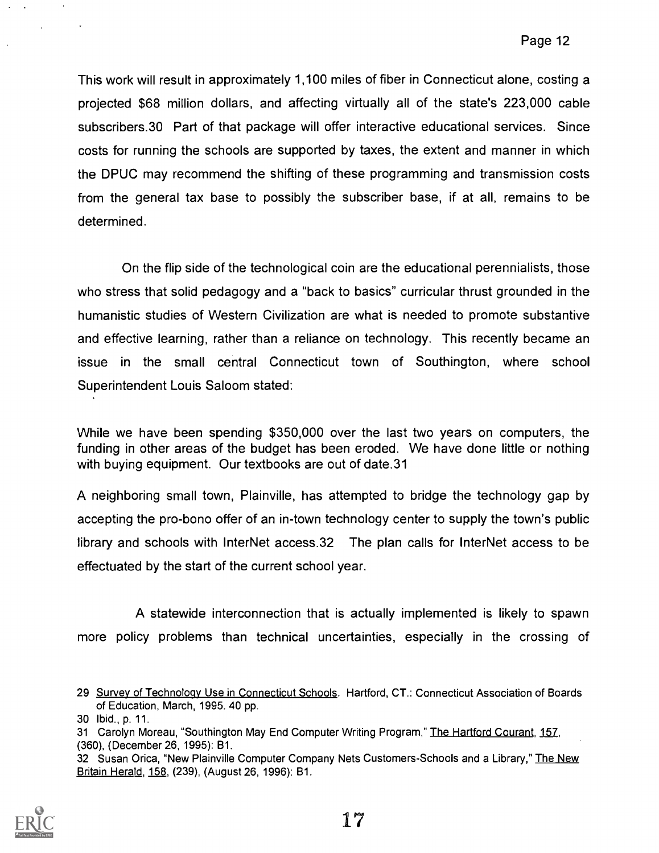This work will result in approximately 1,100 miles of fiber in Connecticut alone, costing a projected \$68 million dollars, and affecting virtually all of the state's 223,000 cable subscribers.30 Part of that package will offer interactive educational services. Since costs for running the schools are supported by taxes, the extent and manner in which the DPUC may recommend the shifting of these programming and transmission costs from the general tax base to possibly the subscriber base, if at all, remains to be determined.

On the flip side of the technological coin are the educational perennialists, those who stress that solid pedagogy and a "back to basics" curricular thrust grounded in the humanistic studies of Western Civilization are what is needed to promote substantive and effective learning, rather than a reliance on technology. This recently became an issue in the small central Connecticut town of Southington, where school Superintendent Louis Saloom stated:

While we have been spending \$350,000 over the last two years on computers, the funding in other areas of the budget has been eroded. We have done little or nothing with buying equipment. Our textbooks are out of date.31

A neighboring small town, Plainville, has attempted to bridge the technology gap by accepting the pro-bono offer of an in-town technology center to supply the town's public library and schools with InterNet access.32 The plan calls for InterNet access to be effectuated by the start of the current school year.

A statewide interconnection that is actually implemented is likely to spawn more policy problems than technical uncertainties, especially in the crossing of

<sup>32</sup> Susan Orica, "New Plainville Computer Company Nets Customers-Schools and a Library," The New Britain Herald, 158, (239), (August 26, 1996): B1.



<sup>29</sup> Survey of Technology Use in Connecticut Schools. Hartford, CT.: Connecticut Association of Boards of Education, March, 1995. 40 pp.

<sup>30</sup> Ibid., p. 11.

<sup>31</sup> Carolyn Moreau, "Southington May End Computer Writing Program," The Hartford Courant, 157, (360), (December 26, 1995): B1.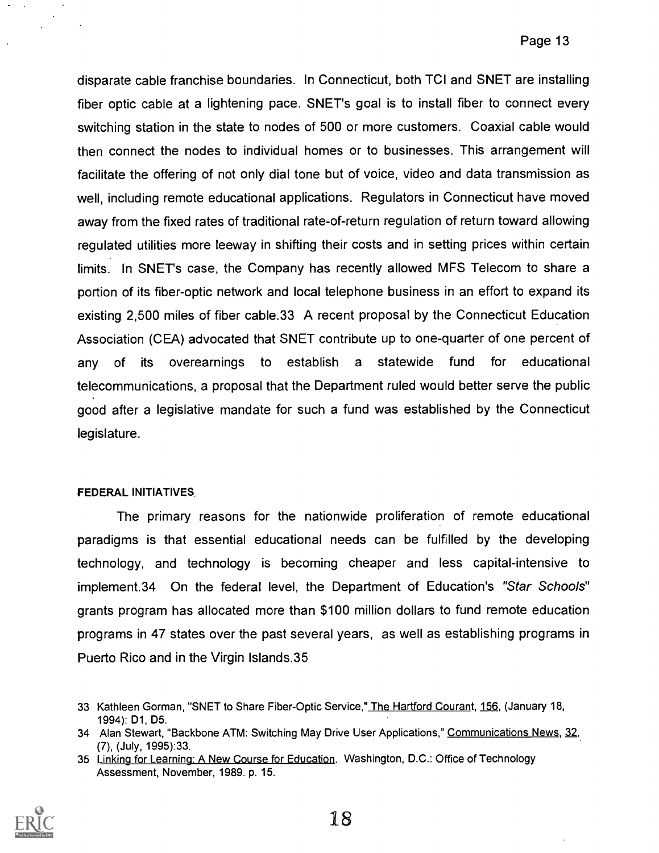disparate cable franchise boundaries. In Connecticut, both ICI and SNET are installing fiber optic cable at a lightening pace. SNET's goal is to install fiber to connect every switching station in the state to nodes of 500 or more customers. Coaxial cable would then connect the nodes to individual homes or to businesses. This arrangement will facilitate the offering of not only dial tone but of voice, video and data transmission as well, including remote educational applications. Regulators in Connecticut have moved away from the fixed rates of traditional rate-of-return regulation of return toward allowing regulated utilities more leeway in shifting their costs and in setting prices within certain limits. In SNET's case, the Company has recently allowed MFS Telecom to share a portion of its fiber-optic network and local telephone business in an effort to expand its existing 2,500 miles of fiber cable.33 A recent proposal by the Connecticut Education Association (CEA) advocated that SNET contribute up to one-quarter of one percent of any of its overearnings to establish a statewide fund for educational telecommunications, a proposal that the Department ruled would better serve the public good after a legislative mandate for such a fund was established by the Connecticut legislature.

#### FEDERAL INITIATIVES

The primary reasons for the nationwide proliferation of remote educational paradigms is that essential educational needs can be fulfilled by the developing technology, and technology is becoming cheaper and less capital-intensive to implement.34 On the federal level, the Department of Education's "Star Schools" grants program has allocated more than \$100 million dollars to fund remote education programs in 47 states over the past several years, as well as establishing programs in Puerto Rico and in the Virgin Islands.35

<sup>35</sup> Linking for Learning: A New Course for Education. Washington, D.C.: Office of Technology Assessment, November, 1989. p. 15.



<sup>33</sup> Kathleen Gorman, "SNET to Share Fiber-Optic Service," The Hartford Courant, 156, (January 18, 1994): D1, D5.

<sup>34</sup> Alan Stewart, "Backbone ATM: Switching May Drive User Applications," Communications News, 32, (7), (July, 1995):33.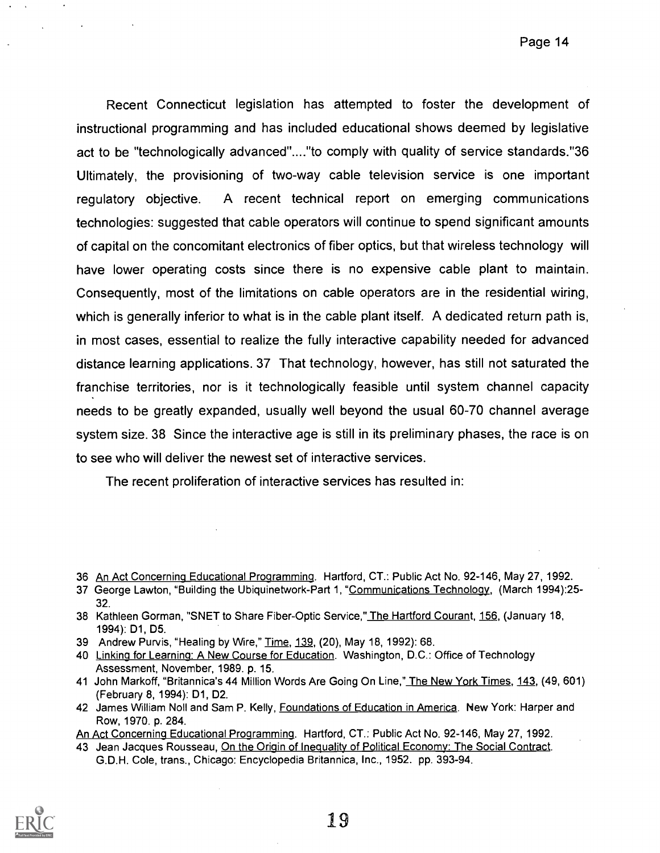Recent Connecticut legislation has attempted to foster the development of instructional programming and has included educational shows deemed by legislative act to be "technologically advanced"...."to comply with quality of service standards."36 Ultimately, the provisioning of two-way cable television service is one important regulatory objective. A recent technical report on emerging communications technologies: suggested that cable operators will continue to spend significant amounts of capital on the concomitant electronics of fiber optics, but that wireless technology will have lower operating costs since there is no expensive cable plant to maintain. Consequently, most of the limitations on cable operators are in the residential wiring, which is generally inferior to what is in the cable plant itself. A dedicated return path is, in most cases, essential to realize the fully interactive capability needed for advanced distance learning applications. 37 That technology, however, has still not saturated the franchise territories, nor is it technologically feasible until system channel capacity needs to be greatly expanded, usually well beyond the usual 60-70 channel average system size. 38 Since the interactive age is still in its preliminary phases, the race is on to see who will deliver the newest set of interactive services.

The recent proliferation of interactive services has resulted in:

<sup>43</sup> Jean Jacques Rousseau, On the Origin of Inequality of Political Economy: The Social Contract. G.D.H. Cole, trans., Chicago: Encyclopedia Britannica, Inc., 1952. pp. 393-94.



<sup>36</sup> An Act Concerning Educational Programming. Hartford, CT.: Public Act No. 92-146, May 27, 1992.

<sup>37</sup> George Lawton, "Building the Ubiquinetwork-Part 1, "Communications Technology, (March 1994):25- 32.

<sup>38</sup> Kathleen Gorman, "SNET to Share Fiber-Optic Service," The Hartford Courant, 156, (January 18, 1994): D1, D5.

<sup>39</sup> Andrew Purvis, "Healing by Wire," Time, 139, (20), May 18, 1992): 68.

<sup>40</sup> Linking for Learning: A New Course for Education. Washington, D.C.: Office of Technology Assessment, November, 1989. p. 15.

<sup>41</sup> John Markoff, "Britannica's 44 Million Words Are Going On Line," The New York Times, 143, (49, 601) (February 8, 1994): D1, D2.

<sup>42</sup> James William Noll and Sam P. Kelly, Foundations of Education in America. New York: Harper and Row, 1970. p. 284.

An Act Concerning Educational Programming. Hartford, CT.: Public Act No. 92-146, May 27, 1992.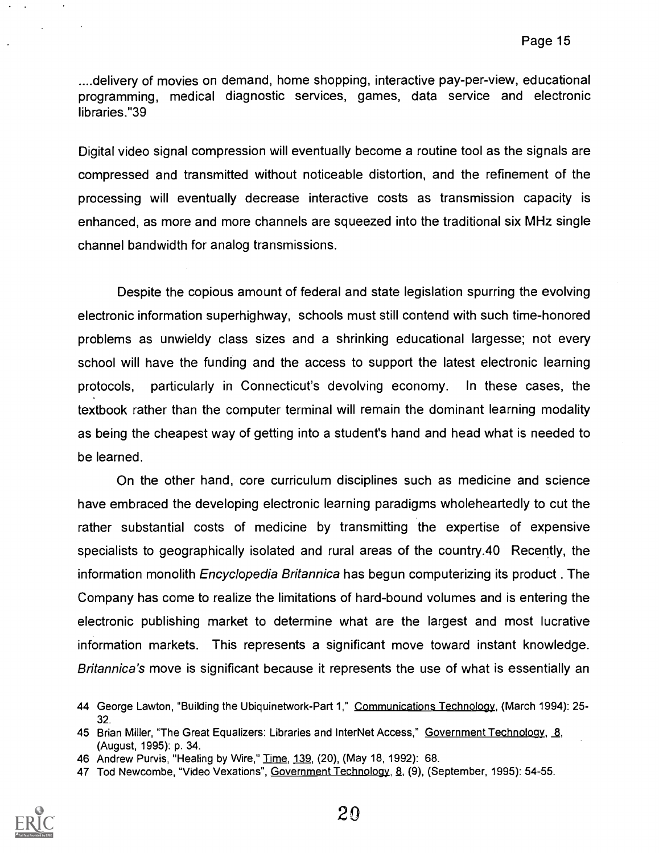....delivery of movies on demand, home shopping, interactive pay-per-view, educational programming, medical diagnostic services, games, data service and electronic libraries."39

Digital video signal compression will eventually become a routine tool as the signals are compressed and transmitted without noticeable distortion, and the refinement of the processing will eventually decrease interactive costs as transmission capacity is enhanced, as more and more channels are squeezed into the traditional six MHz single channel bandwidth for analog transmissions.

Despite the copious amount of federal and state legislation spurring the evolving electronic information superhighway, schools must still contend with such time-honored problems as unwieldy class sizes and a shrinking educational largesse; not every school will have the funding and the access to support the latest electronic learning protocols, particularly in Connecticut's devolving economy. In these cases, the textbook rather than the computer terminal will remain the dominant learning modality as being the cheapest way of getting into a student's hand and head what is needed to be learned.

On the other hand, core curriculum disciplines such as medicine and science have embraced the developing electronic learning paradigms wholeheartedly to cut the rather substantial costs of medicine by transmitting the expertise of expensive specialists to geographically isolated and rural areas of the country.40 Recently, the information monolith Encyclopedia Britannica has begun computerizing its product . The Company has come to realize the limitations of hard-bound volumes and is entering the electronic publishing market to determine what are the largest and most lucrative information markets. This represents a significant move toward instant knowledge. Britannica's move is significant because it represents the use of what is essentially an

<sup>47</sup> Tod Newcombe, "Video Vexations", Government Technology, 8, (9), (September, 1995): 54-55.



<sup>44</sup> George Lawton, "Building the Ubiquinetwork-Part 1," Communications Technology, (March 1994): 25-32.

<sup>45</sup> Brian Miller, "The Great Equalizers: Libraries and InterNet Access," Government Technology, 8, (August, 1995): p. 34.

<sup>46</sup> Andrew Purvis, "Healing by Wire," Time, 139, (20), (May 18, 1992): 68.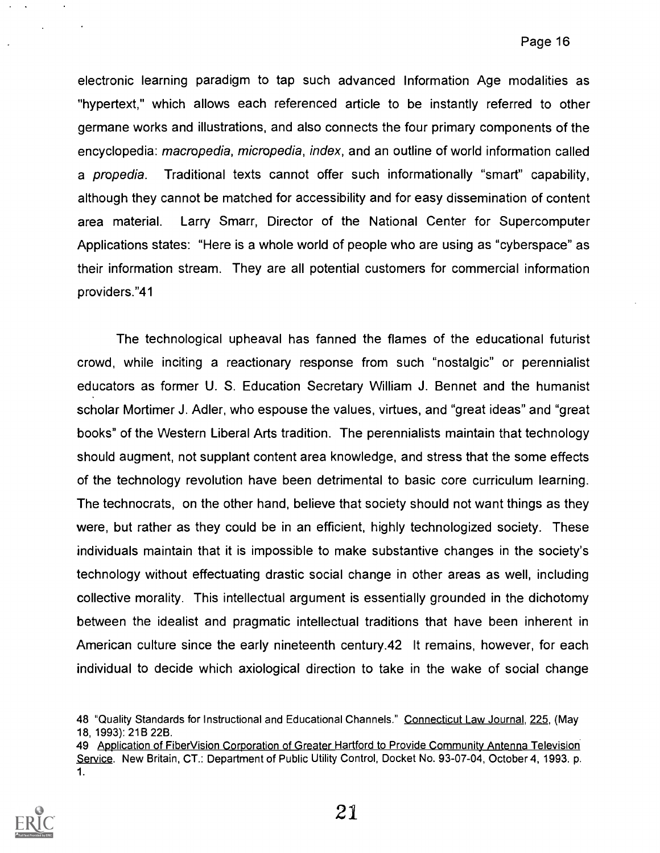electronic learning paradigm to tap such advanced Information Age modalities as "hypertext," which allows each referenced article to be instantly referred to other germane works and illustrations, and also connects the four primary components of the encyclopedia: macropedia, micropedia, index, and an outline of world information called a propedia. Traditional texts cannot offer such informationally "smart" capability, although they cannot be matched for accessibility and for easy dissemination of content area material. Larry Smarr, Director of the National Center for Supercomputer Applications states: "Here is a whole world of people who are using as "cyberspace" as their information stream. They are all potential customers for commercial information providers."41

The technological upheaval has fanned the flames of the educational futurist crowd, while inciting a reactionary response from such "nostalgic" or perennialist educators as former U. S. Education Secretary William J. Bennet and the humanist scholar Mortimer J. Adler, who espouse the values, virtues, and "great ideas" and "great books" of the Western Liberal Arts tradition. The perennialists maintain that technology should augment, not supplant content area knowledge, and stress that the some effects of the technology revolution have been detrimental to basic core curriculum learning. The technocrats, on the other hand, believe that society should not want things as they were, but rather as they could be in an efficient, highly technologized society. These individuals maintain that it is impossible to make substantive changes in the society's technology without effectuating drastic social change in other areas as well, including collective morality. This intellectual argument is essentially grounded in the dichotomy between the idealist and pragmatic intellectual traditions that have been inherent in American culture since the early nineteenth century.42 It remains, however, for each individual to decide which axiological direction to take in the wake of social change

<sup>49</sup> Application of FiberVision Corporation of Greater Hartford to Provide Community Antenna Television Service. New Britain, CT.: Department of Public Utility Control, Docket No. 93-07-04, October 4, 1993. p. 1.



<sup>48 &</sup>quot;Quality Standards for Instructional and Educational Channels." Connecticut Law Journal, 225, (May 18, 1993): 21B 22B.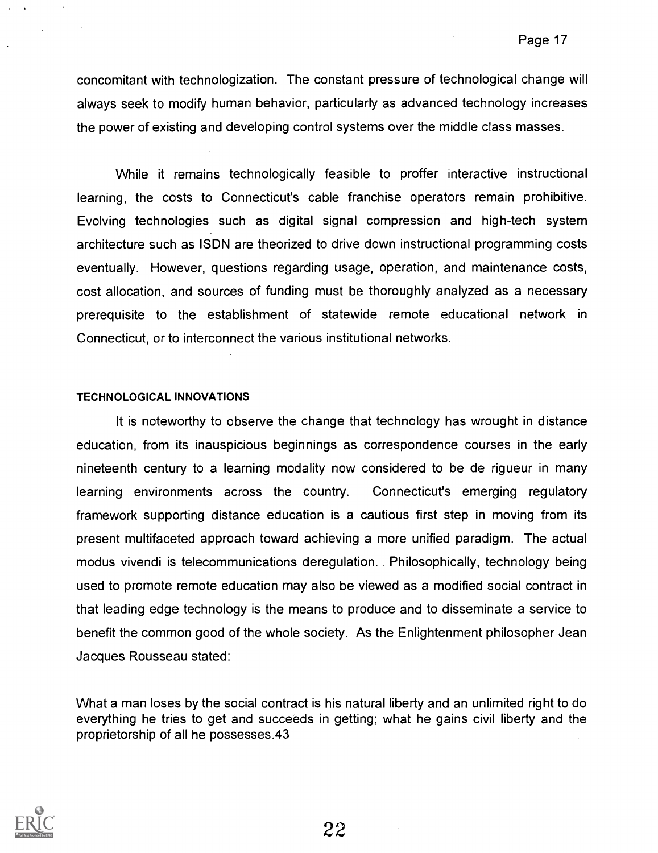concomitant with technologization. The constant pressure of technological change will always seek to modify human behavior, particularly as advanced technology increases the power of existing and developing control systems over the middle class masses.

While it remains technologically feasible to proffer interactive instructional learning, the costs to Connecticut's cable franchise operators remain prohibitive. Evolving technologies such as digital signal compression and high-tech system architecture such as ISDN are theorized to drive down instructional programming costs eventually. However, questions regarding usage, operation, and maintenance costs, cost allocation, and sources of funding must be thoroughly analyzed as a necessary prerequisite to the establishment of statewide remote educational network in Connecticut, or to interconnect the various institutional networks.

#### TECHNOLOGICAL INNOVATIONS

It is noteworthy to observe the change that technology has wrought in distance education, from its inauspicious beginnings as correspondence courses in the early nineteenth century to a learning modality now considered to be de rigueur in many learning environments across the country. Connecticut's emerging regulatory framework supporting distance education is a cautious first step in moving from its present multifaceted approach toward achieving a more unified paradigm. The actual modus vivendi is telecommunications deregulation. Philosophically, technology being used to promote remote education may also be viewed as a modified social contract in that leading edge technology is the means to produce and to disseminate a service to benefit the common good of the whole society. As the Enlightenment philosopher Jean Jacques Rousseau stated:

What a man loses by the social contract is his natural liberty and an unlimited right to do everything he tries to get and succeeds in getting; what he gains civil liberty and the proprietorship of all he possesses.43

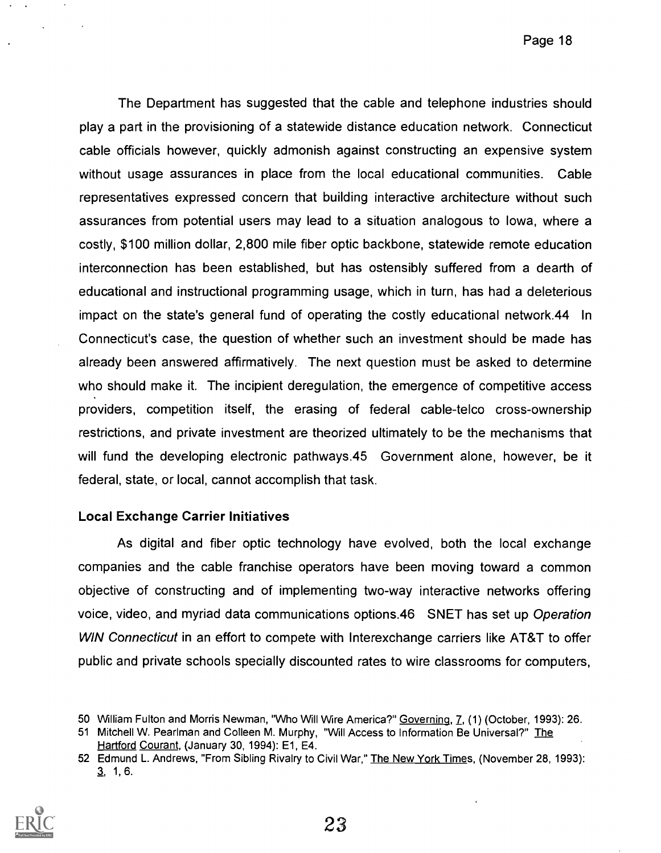The Department has suggested that the cable and telephone industries should play a part in the provisioning of a statewide distance education network. Connecticut cable officials however, quickly admonish against constructing an expensive system without usage assurances in place from the local educational communities. Cable representatives expressed concern that building interactive architecture without such assurances from potential users may lead to a situation analogous to Iowa, where a costly, \$100 million dollar, 2,800 mile fiber optic backbone, statewide remote education interconnection has been established, but has ostensibly suffered from a dearth of educational and instructional programming usage, which in turn, has had a deleterious impact on the state's general fund of operating the costly educational network.44 In Connecticut's case, the question of whether such an investment should be made has already been answered affirmatively. The next question must be asked to determine who should make it. The incipient deregulation, the emergence of competitive access providers, competition itself, the erasing of federal cable-telco cross-ownership restrictions, and private investment are theorized ultimately to be the mechanisms that will fund the developing electronic pathways.45 Government alone, however, be it federal, state, or local, cannot accomplish that task.

## Local Exchange Carrier Initiatives

As digital and fiber optic technology have evolved, both the local exchange companies and the cable franchise operators have been moving toward a common objective of constructing and of implementing two-way interactive networks offering voice, video, and myriad data communications options.46 SNET has set up Operation WIN Connecticut in an effort to compete with Interexchange carriers like AT&T to offer public and private schools specially discounted rates to wire classrooms for computers,

<sup>52</sup> Edmund L. Andrews, "From Sibling Rivalry to Civil War," The New York Times, (November 28, 1993): 3, 1, 6.



<sup>50</sup> William Fulton and Morris Newman, "Who Will Wire America?" Governing, 7, (1) (October, 1993): 26.

<sup>51</sup> Mitchell W. Pearlman and Colleen M. Murphy, "Will Access to Information Be Universal?" The Hartford Courant, (January 30, 1994): E1, E4.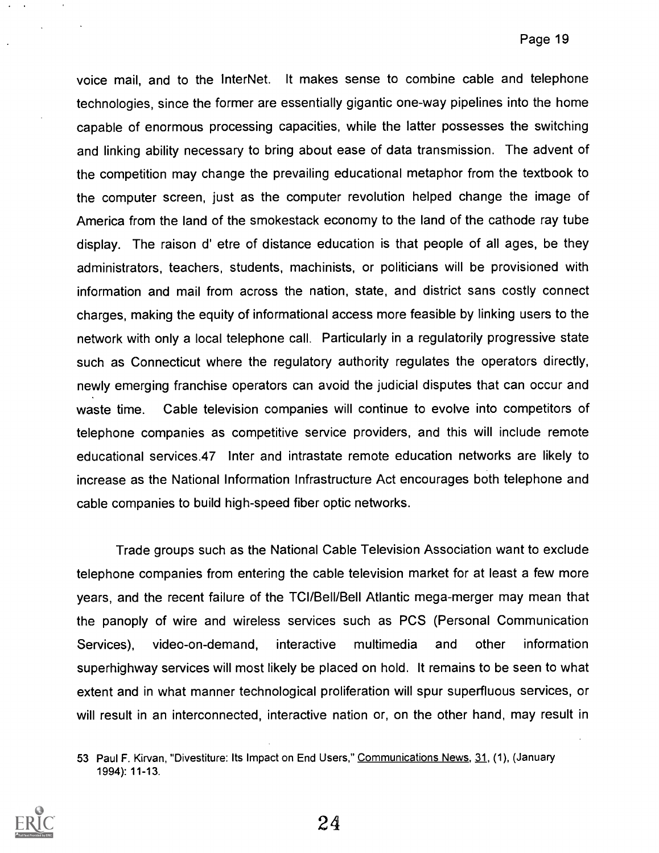voice mail, and to the InterNet. It makes sense to combine cable and telephone technologies, since the former are essentially gigantic one-way pipelines into the home capable of enormous processing capacities, while the latter possesses the switching and linking ability necessary to bring about ease of data transmission. The advent of the competition may change the prevailing educational metaphor from the textbook to the computer screen, just as the computer revolution helped change the image of America from the land of the smokestack economy to the land of the cathode ray tube display. The raison d' etre of distance education is that people of all ages, be they administrators, teachers, students, machinists, or politicians will be provisioned with information and mail from across the nation, state, and district sans costly connect charges, making the equity of informational access more feasible by linking users to the network with only a local telephone call. Particularly in a regulatorily progressive state such as Connecticut where the regulatory authority regulates the operators directly, newly emerging franchise operators can avoid the judicial disputes that can occur and waste time. Cable television companies will continue to evolve into competitors of telephone companies as competitive service providers, and this will include remote educational services.47 Inter and intrastate remote education networks are likely to increase as the National Information Infrastructure Act encourages both telephone and cable companies to build high-speed fiber optic networks.

Trade groups such as the National Cable Television Association want to exclude telephone companies from entering the cable television market for at least a few more years, and the recent failure of the TCl/Bell/Bell Atlantic mega-merger may mean that the panoply of wire and wireless services such as PCS (Personal Communication Services), video-on-demand, interactive multimedia and other information superhighway services will most likely be placed on hold. It remains to be seen to what extent and in what manner technological proliferation will spur superfluous services, or will result in an interconnected, interactive nation or, on the other hand, may result in

<sup>53</sup> Paul F. Kirvan, "Divestiture: Its Impact on End Users," Communications News, 31, (1), (January 1994): 11-13.

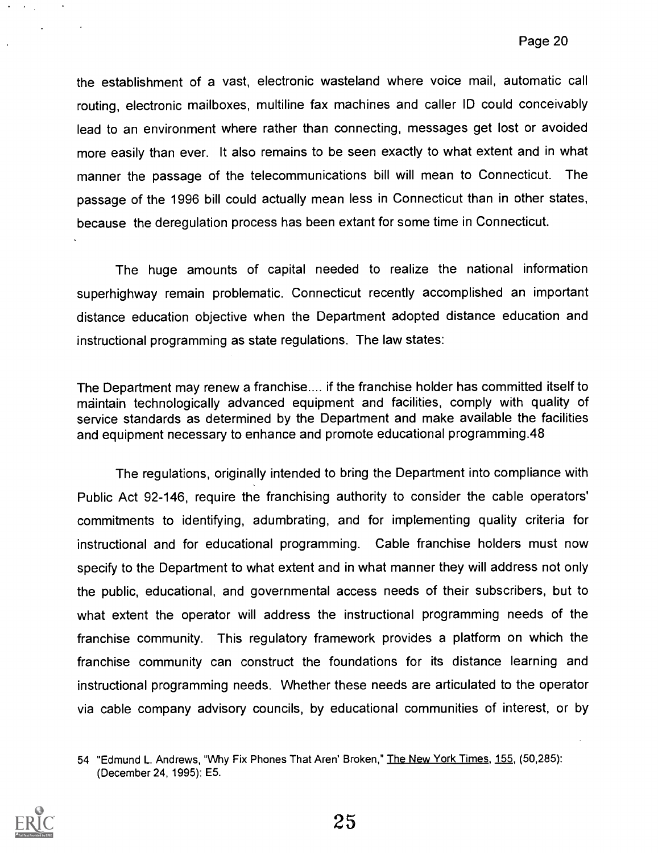the establishment of a vast, electronic wasteland where voice mail, automatic call routing, electronic mailboxes, multiline fax machines and caller ID could conceivably lead to an environment where rather than connecting, messages get lost or avoided more easily than ever. It also remains to be seen exactly to what extent and in what manner the passage of the telecommunications bill will mean to Connecticut. The passage of the 1996 bill could actually mean less in Connecticut than in other states, because the deregulation process has been extant for some time in Connecticut.

The huge amounts of capital needed to realize the national information superhighway remain problematic. Connecticut recently accomplished an important distance education objective when the Department adopted distance education and instructional programming as state regulations. The law states:

The Department may renew a franchise.... if the franchise holder has committed itself to maintain technologically advanced equipment and facilities, comply with quality of service standards as determined by the Department and make available the facilities and equipment necessary to enhance and promote educational programming.48

The regulations, originally intended to bring the Department into compliance with Public Act 92-146, require the franchising authority to consider the cable operators' commitments to identifying, adumbrating, and for implementing quality criteria for instructional and for educational programming. Cable franchise holders must now specify to the Department to what extent and in what manner they will address not only the public, educational, and governmental access needs of their subscribers, but to what extent the operator will address the instructional programming needs of the franchise community. This regulatory framework provides a platform on which the franchise community can construct the foundations for its distance learning and instructional programming needs. Whether these needs are articulated to the operator via cable company advisory councils, by educational communities of interest, or by

<sup>54 &</sup>quot;Edmund L. Andrews, "Why Fix Phones That Aren' Broken," The New York Times, 155, (50,285): (December 24, 1995): E5.



 $\mathbf{A}=\mathbf{0}$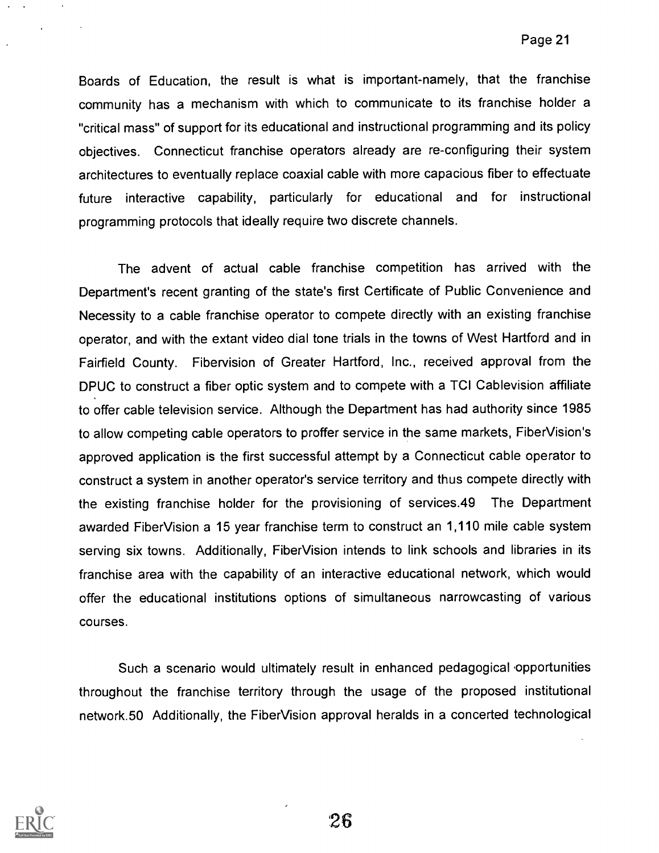Boards of Education, the result is what is important-namely, that the franchise community has a mechanism with which to communicate to its franchise holder a "critical mass" of support for its educational and instructional programming and its policy objectives. Connecticut franchise operators already are re-configuring their system architectures to eventually replace coaxial cable with more capacious fiber to effectuate future interactive capability, particularly for educational and for instructional programming protocols that ideally require two discrete channels.

The advent of actual cable franchise competition has arrived with the Department's recent granting of the state's first Certificate of Public Convenience and Necessity to a cable franchise operator to compete directly with an existing franchise operator, and with the extant video dial tone trials in the towns of West Hartford and in Fairfield County. Fibervision of Greater Hartford, Inc., received approval from the DPUC to construct a fiber optic system and to compete with a TCI Cablevision affiliate to offer cable television service. Although the Department has had authority since 1985 to allow competing cable operators to proffer service in the same markets, Fiber Vision's approved application is the first successful attempt by a Connecticut cable operator to construct a system in another operator's service territory and thus compete directly with the existing franchise holder for the provisioning of services.49 The Department awarded Fiber Vision a 15 year franchise term to construct an 1,110 mile cable system serving six towns. Additionally, Fiber Vision intends to link schools and libraries in its franchise area with the capability of an interactive educational network, which would offer the educational institutions options of simultaneous narrowcasting of various courses.

Such a scenario would ultimately result in enhanced pedagogical 'opportunities throughout the franchise territory through the usage of the proposed institutional network.50 Additionally, the FiberVision approval heralds in a concerted technological

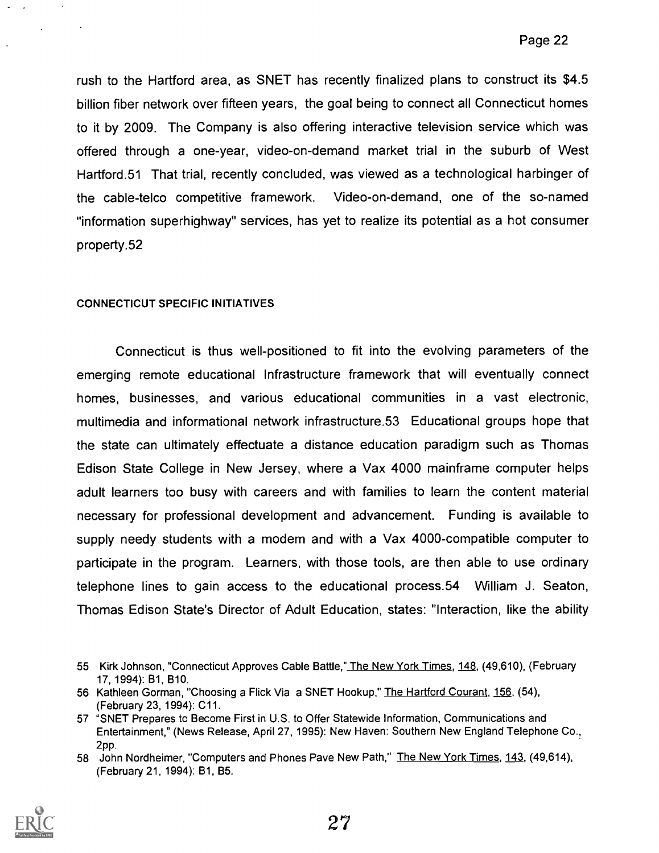rush to the Hartford area, as SNET has recently finalized plans to construct its \$4.5 billion fiber network over fifteen years, the goal being to connect all Connecticut homes to it by 2009. The Company is also offering interactive television service which was offered through a one-year, video-on-demand market trial in the suburb of West Hartford.51 That trial, recently concluded, was viewed as a technological harbinger of the cable-telco competitive framework. Video-on-demand, one of the so-named "information superhighway" services, has yet to realize its potential as a hot consumer property.52

### CONNECTICUT SPECIFIC INITIATIVES

Connecticut is thus well-positioned to fit into the evolving parameters of the emerging remote educational Infrastructure framework that will eventually connect homes, businesses, and various educational communities in a vast electronic, multimedia and informational network infrastructure.53 Educational groups hope that the state can ultimately effectuate a distance education paradigm such as Thomas Edison State College in New Jersey, where a Vax 4000 mainframe computer helps adult learners too busy with careers and with families to learn the content material necessary for professional development and advancement. Funding is available to supply needy students with a modem and with a Vax 4000-compatible computer to participate in the program. Learners, with those tools, are then able to use ordinary telephone lines to gain access to the educational process.54 William J. Seaton, Thomas Edison State's Director of Adult Education, states: "Interaction, like the ability

<sup>58</sup> John Nordheimer, "Computers and Phones Pave New Path," The New York Times, 143, (49,614), (February 21, 1994): B1, B5.



<sup>55</sup> Kirk Johnson, "Connecticut Approves Cable Battle," The New York Times, 148, (49,610), (February 17, 1994): B1, B10.

<sup>56</sup> Kathleen Gorman, "Choosing a Flick Via a SNET Hookup," The Hartford Courant, 156, (54), (February 23, 1994): C11.

<sup>57 &</sup>quot;SNET Prepares to Become First in U.S. to Offer Statewide Information, Communications and Entertainment," (News Release, April 27, 1995): New Haven: Southern New England Telephone Co., 2pp.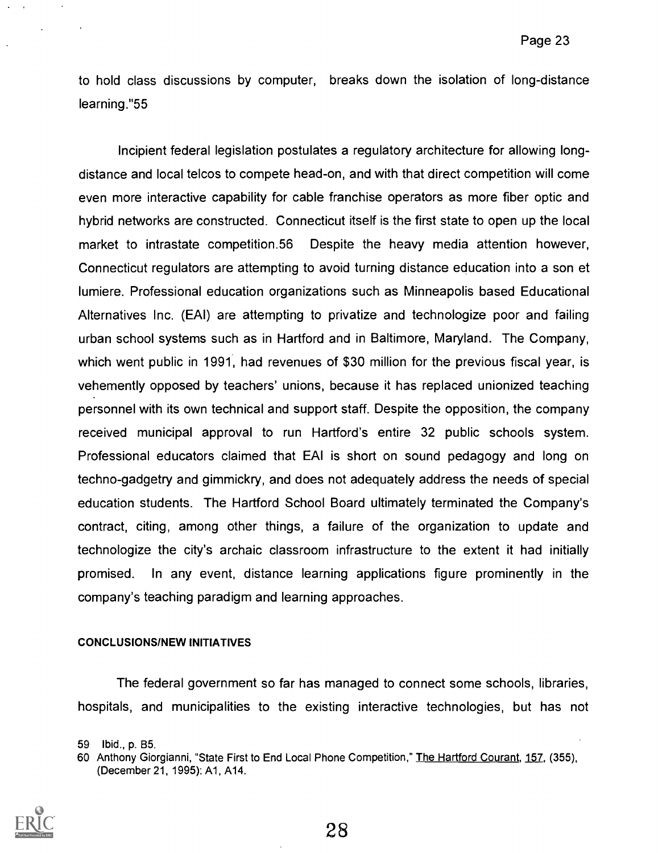to hold class discussions by computer, breaks down the isolation of long-distance learning."55

Incipient federal legislation postulates a regulatory architecture for allowing longdistance and local telcos to compete head-on, and with that direct competition will come even more interactive capability for cable franchise operators as more fiber optic and hybrid networks are constructed. Connecticut itself is the first state to open up the local market to intrastate competition.56 Despite the heavy media attention however, Connecticut regulators are attempting to avoid turning distance education into a son et lumiere. Professional education organizations such as Minneapolis based Educational Alternatives Inc. (EAI) are attempting to privatize and technologize poor and failing urban school systems such as in Hartford and in Baltimore, Maryland. The Company, which went public in 1991, had revenues of \$30 million for the previous fiscal year, is vehemently opposed by teachers' unions, because it has replaced unionized teaching personnel with its own technical and support staff. Despite the opposition, the company received municipal approval to run Hartford's entire 32 public schools system. Professional educators claimed that EAI is short on sound pedagogy and long on techno-gadgetry and gimmickry, and does not adequately address the needs of special education students. The Hartford School Board ultimately terminated the Company's contract, citing, among other things, a failure of the organization to update and technologize the city's archaic classroom infrastructure to the extent it had initially promised. In any event, distance learning applications figure prominently in the company's teaching paradigm and learning approaches.

#### CONCLUSIONS/NEW INITIATIVES

The federal government so far has managed to connect some schools, libraries, hospitals, and municipalities to the existing interactive technologies, but has not

<sup>60</sup> Anthony Giorgianni, "State First to End Local Phone Competition," The Hartford Courant, 157, (355), (December 21, 1995): A1, A14.



<sup>59</sup> Ibid., p. B5.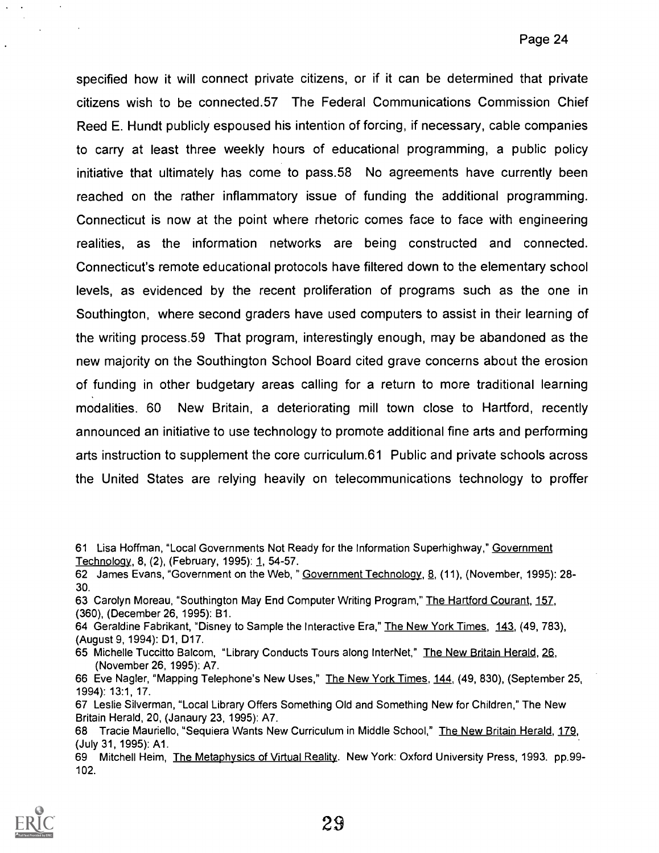specified how it will connect private citizens, or if it can be determined that private citizens wish to be connected.57 The Federal Communications Commission Chief Reed E. Hundt publicly espoused his intention of forcing, if necessary, cable companies to carry at least three weekly hours of educational programming, a public policy initiative that ultimately has come to pass.58 No agreements have currently been reached on the rather inflammatory issue of funding the additional programming. Connecticut is now at the point where rhetoric comes face to face with engineering realities, as the information networks are being constructed and connected. Connecticut's remote educational protocols have filtered down to the elementary school levels, as evidenced by the recent proliferation of programs such as the one in Southington, where second graders have used computers to assist in their learning of the writing process.59 That program, interestingly enough, may be abandoned as the new majority on the Southington School Board cited grave concerns about the erosion of funding in other budgetary areas calling for a return to more traditional learning modalities. 60 New Britain, a deteriorating mill town close to Hartford, recently announced an initiative to use technology to promote additional fine arts and performing arts instruction to supplement the core curriculum.61 Public and private schools across the United States are relying heavily on telecommunications technology to proffer

- 61 Lisa Hoffman, "Local Governments Not Ready for the Information Superhighway," Government Technology, 8, (2), (February, 1995): 1, 54-57.
- 62 James Evans, "Government on the Web, " Government Technology, 8, (11), (November, 1995): 28-30.
- 63 Carolyn Moreau, "Southington May End Computer Writing Program," The Hartford Courant, 157, (360), (December 26, 1995): B1.
- 64 Geraldine Fabrikant, "Disney to Sample the Interactive Era," The New York Times, 143, (49, 783), (August 9, 1994): D1, D17.
- 65 Michelle Tuccitto Balcom, "Library Conducts Tours along InterNet," The New Britain Herald, 26, (November 26, 1995): A7.
- 66 Eve Nagler, "Mapping Telephone's New Uses," The New York Times, 144, (49, 830), (September 25, 1994): 13:1, 17.
- 67 Leslie Silverman, "Local Library Offers Something Old and Something New for Children," The New Britain Herald, 20, (Janaury 23, 1995): A7.

<sup>69</sup> Mitchell Heim, The Metaphysics of Virtual Reality. New York: Oxford University Press, 1993. pp.99- 102.



<sup>68</sup> Tracie Mauriello, "Sequiera Wants New Curriculum in Middle School," The New Britain Herald, 179, (July 31, 1995): Al.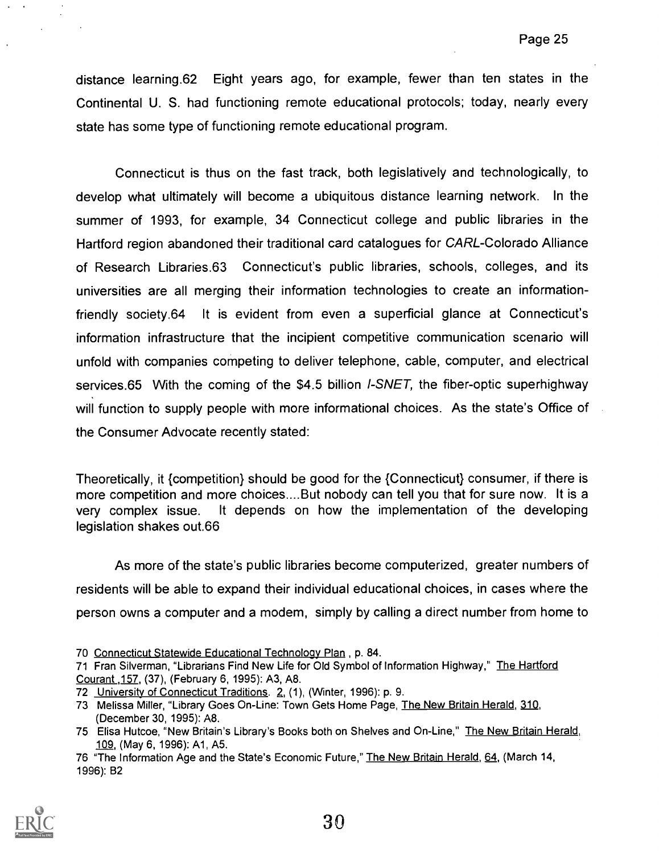distance learning.62 Eight years ago, for example, fewer than ten states in the Continental U. S. had functioning remote educational protocols; today, nearly every state has some type of functioning remote educational program.

Connecticut is thus on the fast track, both legislatively and technologically, to develop what ultimately will become a ubiquitous distance learning network. In the summer of 1993, for example, 34 Connecticut college and public libraries in the Hartford region abandoned their traditional card catalogues for CARL-Colorado Alliance of Research Libraries.63 Connecticut's public libraries, schools, colleges, and its universities are all merging their information technologies to create an informationfriendly society.64 It is evident from even a superficial glance at Connecticut's information infrastructure that the incipient competitive communication scenario will unfold with companies competing to deliver telephone, cable, computer, and electrical services.65 With the coming of the \$4.5 billion  $I-SNET$ , the fiber-optic superhighway will function to supply people with more informational choices. As the state's Office of the Consumer Advocate recently stated:

Theoretically, it {competition} should be good for the {Connecticut} consumer, if there is more competition and more choices.... But nobody can tell you that for sure now. It is a very complex issue. It depends on how the implementation of the developing legislation shakes out.66

As more of the state's public libraries become computerized, greater numbers of residents will be able to expand their individual educational choices, in cases where the person owns a computer and a modem, simply by calling a direct number from home to

<sup>76 &</sup>quot;The Information Age and the State's Economic Future," The New Britain Herald, 64, (March 14, 1996): B2



<sup>70</sup> Connecticut Statewide Educational Technology Plan , p. 84.

<sup>71</sup> Fran Silverman, "Librarians Find New Life for Old Symbol of Information Highway," The Hartford Courant ,157, (37), (February 6, 1995): A3, A8.

<sup>72</sup> University of Connecticut Traditions. 2, (1), (Winter, 1996): p. 9.

<sup>73</sup> Melissa Miller, "Library Goes On-Line: Town Gets Home Page, The New Britain Herald, 310, (December 30, 1995): A8.

<sup>75</sup> Elisa Hutcoe, "New Britain's Library's Books both on Shelves and On-Line," The New Britain Herald, 109, (May 6, 1996): Al, A5.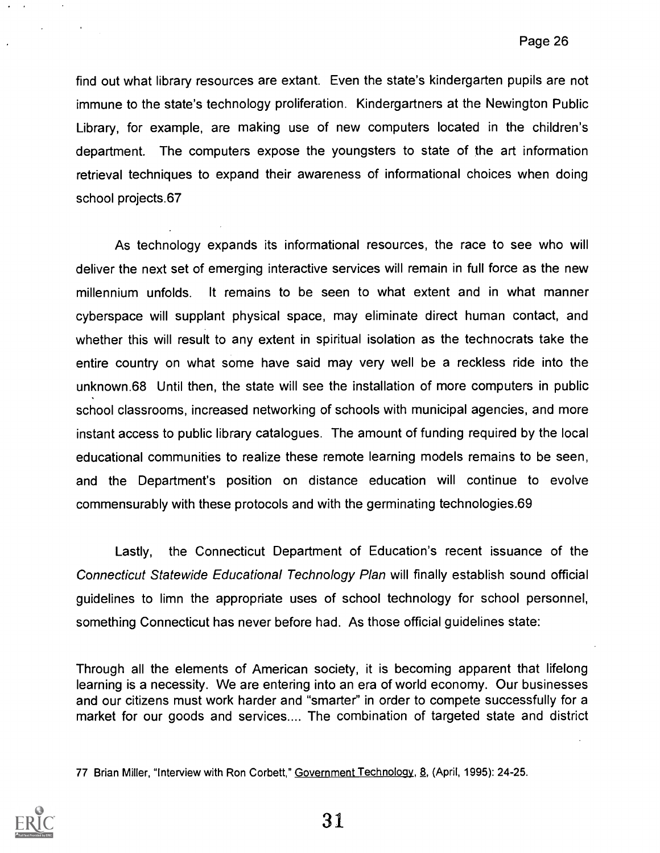find out what library resources are extant. Even the state's kindergarten pupils are not immune to the state's technology proliferation. Kindergartners at the Newington Public Library, for example, are making use of new computers located in the children's department. The computers expose the youngsters to state of the art information retrieval techniques to expand their awareness of informational choices when doing school projects.67

As technology expands its informational resources, the race to see who will deliver the next set of emerging interactive services will remain in full force as the new millennium unfolds. It remains to be seen to what extent and in what manner cyberspace will supplant physical space, may eliminate direct human contact, and whether this will result to any extent in spiritual isolation as the technocrats take the entire country on what some have said may very well be a reckless ride into the unknown.68 Until then, the state will see the installation of more computers in public school classrooms, increased networking of schools with municipal agencies, and more instant access to public library catalogues. The amount of funding required by the local educational communities to realize these remote learning models remains to be seen, and the Department's position on distance education will continue to evolve commensurably with these protocols and with the germinating technologies.69

Lastly, the Connecticut Department of Education's recent issuance of the Connecticut Statewide Educational Technology Plan will finally establish sound official guidelines to limn the appropriate uses of school technology for school personnel, something Connecticut has never before had. As those official guidelines state:

Through all the elements of American society, it is becoming apparent that lifelong learning is a necessity. We are entering into an era of world economy. Our businesses and our citizens must work harder and "smarter" in order to compete successfully for a market for our goods and services.... The combination of targeted state and district

77 Brian Miller, "Interview with Ron Corbett," Government Technology, 8, (April, 1995): 24-25.

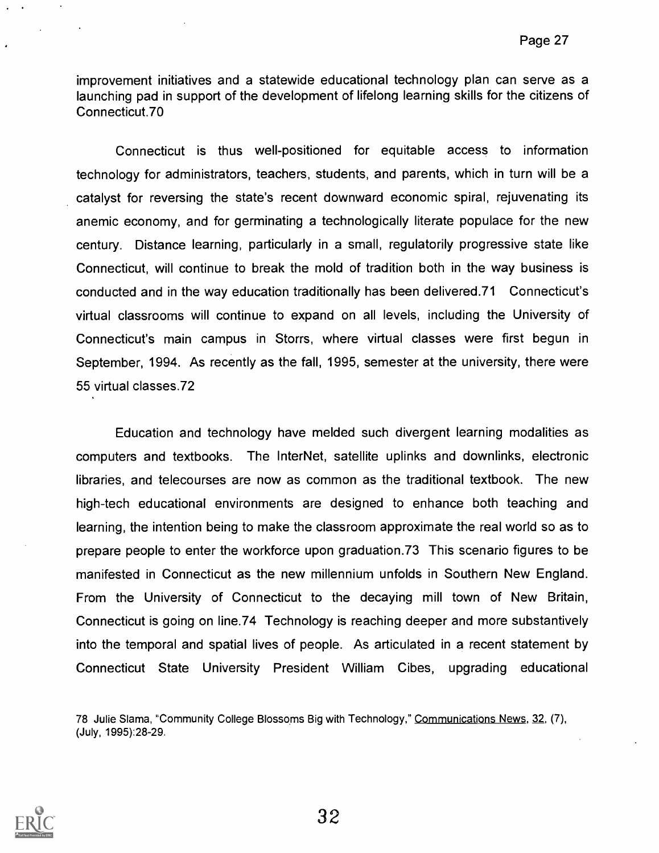improvement initiatives and a statewide educational technology plan can serve as a launching pad in support of the development of lifelong learning skills for the citizens of Connecticut.70

Connecticut is thus well-positioned for equitable access to information technology for administrators, teachers, students, and parents, which in turn will be a catalyst for reversing the state's recent downward economic spiral, rejuvenating its anemic economy, and for germinating a technologically literate populace for the new century. Distance learning, particularly in a small, regulatorily progressive state like Connecticut, will continue to break the mold of tradition both in the way business is conducted and in the way education traditionally has been delivered.71 Connecticut's virtual classrooms will continue to expand on all levels, including the University of Connecticut's main campus in Storrs, where virtual classes were first begun in September, 1994. As recently as the fall, 1995, semester at the university, there were 55 virtual classes.72

Education and technology have melded such divergent learning modalities as computers and textbooks. The InterNet, satellite uplinks and downlinks, electronic libraries, and telecourses are now as common as the traditional textbook. The new high-tech educational environments are designed to enhance both teaching and learning, the intention being to make the classroom approximate the real world so as to prepare people to enter the workforce upon graduation.73 This scenario figures to be manifested in Connecticut as the new millennium unfolds in Southern New England. From the University of Connecticut to the decaying mill town of New Britain, Connecticut is going on line.74 Technology is reaching deeper and more substantively into the temporal and spatial lives of people. As articulated in a recent statement by Connecticut State University President William Cibes, upgrading educational

78 Julie Slama, "Community College Blossoms Big with Technology," Communications News, 32, (7), (July, 1995):28-29.

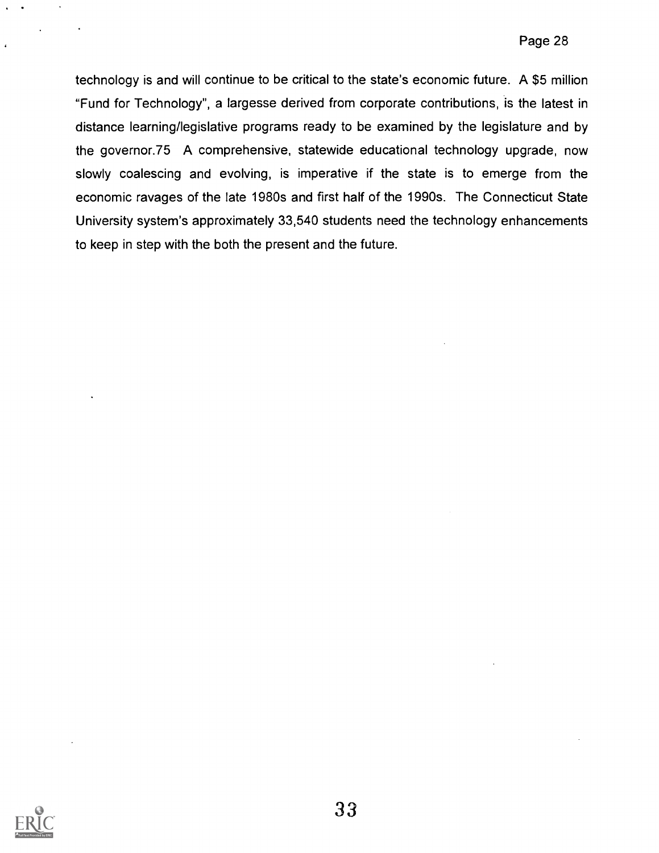technology is and will continue to be critical to the state's economic future. A \$5 million "Fund for Technology", a largesse derived from corporate contributions, is the latest in distance learning/legislative programs ready to be examined by the legislature and by the governor.75 A comprehensive, statewide educational technology upgrade, now slowly coalescing and evolving, is imperative if the state is to emerge from the economic ravages of the late 1980s and first half of the 1990s. The Connecticut State University system's approximately 33,540 students need the technology enhancements to keep in step with the both the present and the future.

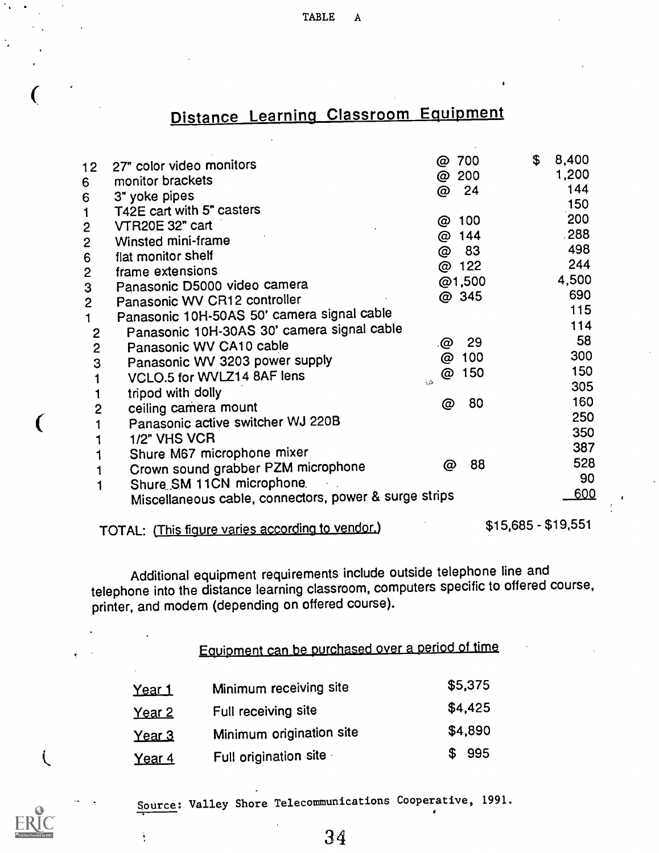TABLE A

# Distance Learning Classroom Equipment

| 12 <sup>1</sup> | 27" color video monitors                              | 700<br>@  | 8,400<br>$\mathfrak{S}$ |  |
|-----------------|-------------------------------------------------------|-----------|-------------------------|--|
| 6               | monitor brackets                                      | 200<br>@  | 1,200                   |  |
| 6               | 3" yoke pipes                                         | @ 24      | 144                     |  |
| 1               | T42E cart with 5" casters                             |           | 150                     |  |
| $\mathbf{2}$    | VTR20E 32" cart                                       | 100<br>@  | 200                     |  |
| $\mathbf{2}$    | Winsted mini-frame                                    | @ 144     | .288                    |  |
| 6               | flat monitor shelf                                    | 83<br>@   | 498                     |  |
| $\mathbf{2}$    | frame extensions                                      | @ 122     | 244                     |  |
| 3               | Panasonic D5000 video camera                          | @1,500    | 4,500                   |  |
| $\overline{2}$  | Panasonic WV CR12 controller                          | @ 345     | 690                     |  |
| $\mathbf 1$     | Panasonic 10H-50AS 50' camera signal cable            |           | 115                     |  |
| $\mathbf{2}$    | Panasonic 10H-30AS 30' camera signal cable            |           | 114                     |  |
| $\overline{2}$  | Panasonic WV CA10 cable                               | 29<br>.@  | 58                      |  |
| 3               | Panasonic WV 3203 power supply                        | 100<br>@  | 300                     |  |
|                 | VCLO.5 for WVLZ14 8AF lens                            | 150<br>@  | 150                     |  |
| 1               | tripod with dolly                                     | $\sim 10$ | 305                     |  |
| $\overline{2}$  | ceiling camera mount                                  | 80<br>@   | 160                     |  |
|                 | Panasonic active switcher WJ 220B                     |           | 250                     |  |
|                 |                                                       |           | 350                     |  |
|                 | 1/2" VHS VCR                                          |           | 387                     |  |
|                 | Shure M67 microphone mixer                            | 88<br>@   | 528                     |  |
|                 | Crown sound grabber PZM microphone                    |           | 90                      |  |
|                 | Shure SM 11CN microphone.                             |           | 600                     |  |
|                 | Miscellaneous cable, connectors, power & surge strips |           |                         |  |
|                 | TOTAL: (This figure varies according to vendor.)      |           | $$15,685 - $19,551$     |  |

€

 $\mathcal{L}$ 

ŧ

Additional equipment requirements include outside telephone line and telephone into the distance learning classroom, computers specific to offered course, printer, and modem (depending on offered course).

# Equipment can be purchased over a period of time

| <u>Year 1</u> | Minimum receiving site   | \$5,375 |  |
|---------------|--------------------------|---------|--|
| <u>Year 2</u> | Full receiving site      | \$4,425 |  |
| <u>Year 3</u> | Minimum origination site | \$4,890 |  |
| Year 4        | Full origination site    | \$995   |  |

Source: Valley Shore Telecommunications Cooperative, 1991.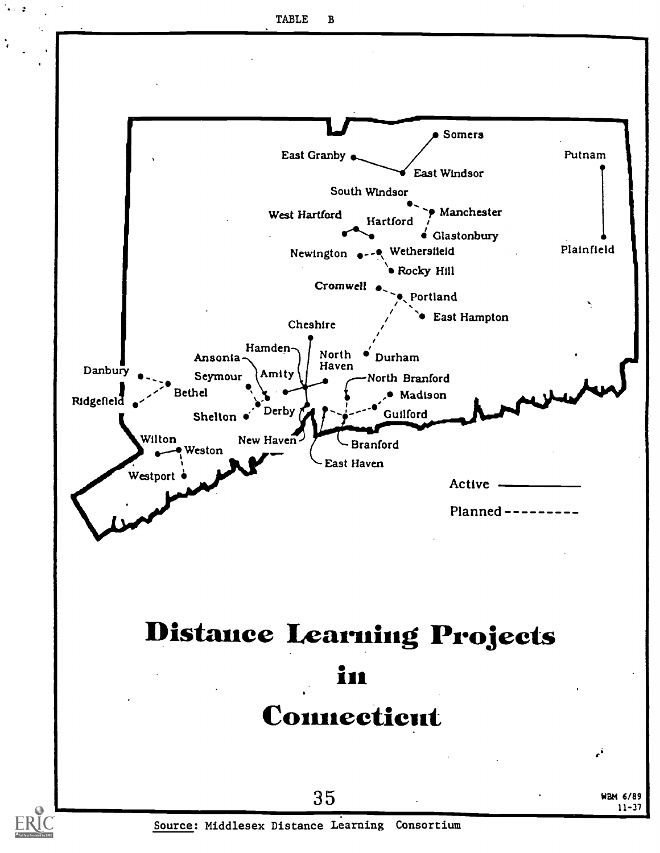$\cdot$ 

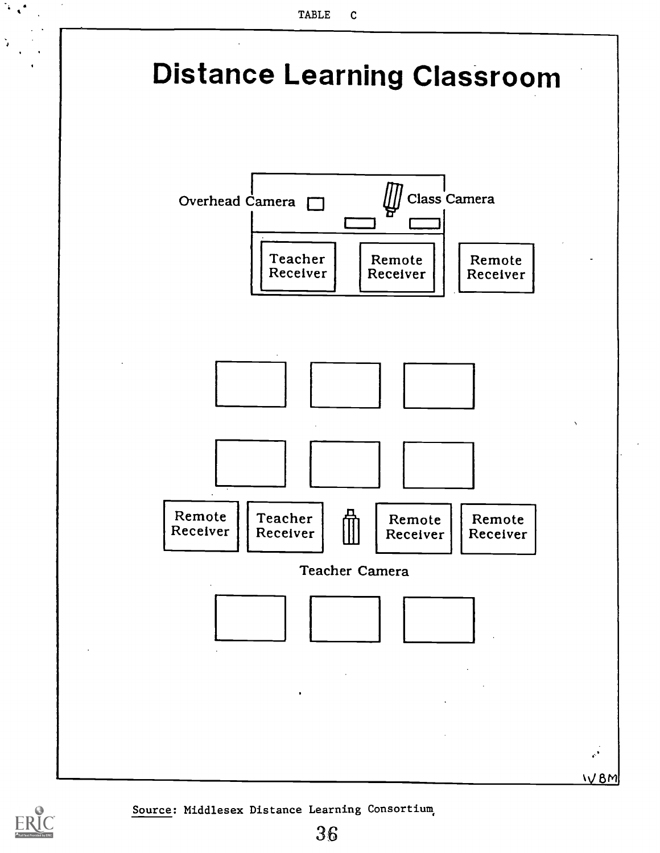



 $\mathcal{F}_{\mathcal{A}}$ 

Source: Middlesex Distance Learning Consortium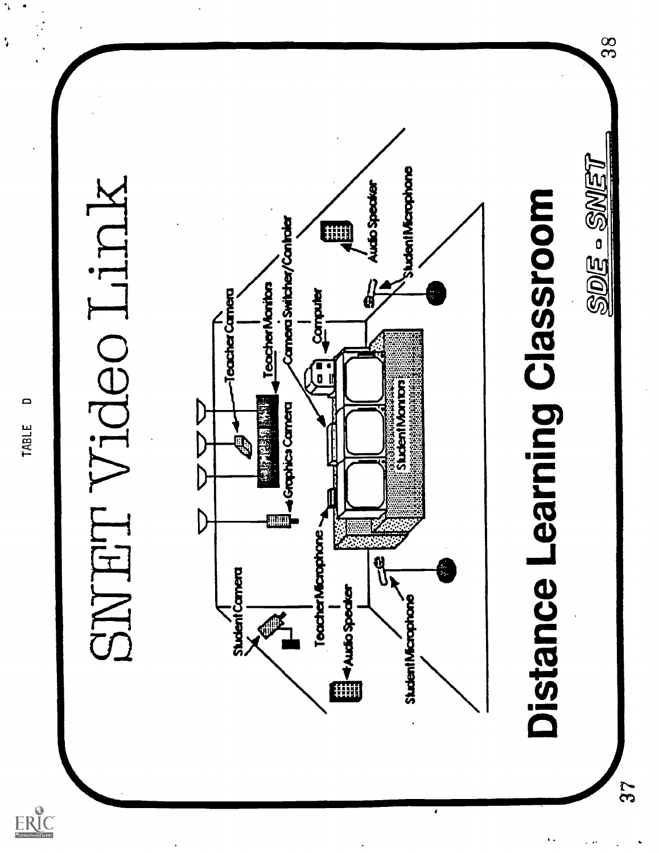

 $\frac{8}{3}$ 

37

۰,

 $\ddot{\phantom{0}}$ 

 $ER_{\underbrace{\text{C}}_{\text{A}}^{0}}$